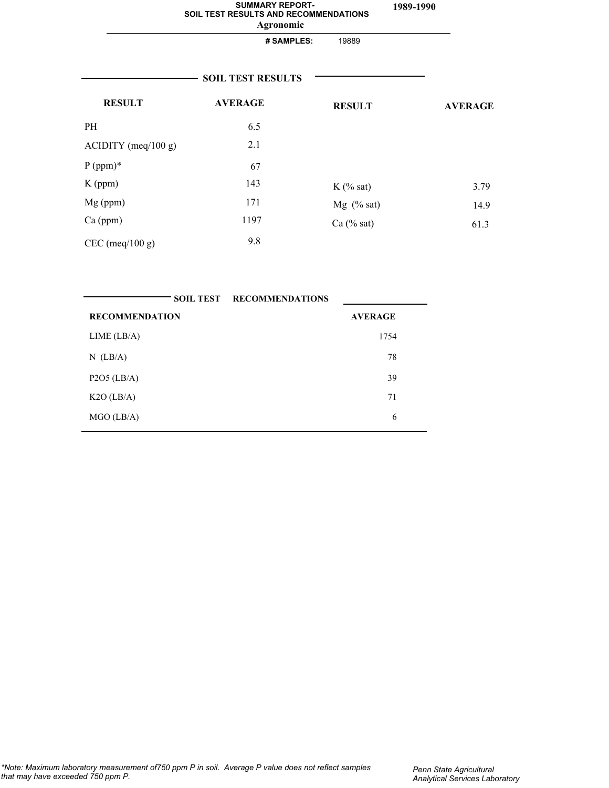|                       | <b>SUMMARY REPORT-</b><br>SOIL TEST RESULTS AND RECOMMENDATIONS<br>Agronomic |               | 1989-1990 |                |
|-----------------------|------------------------------------------------------------------------------|---------------|-----------|----------------|
|                       | # SAMPLES:                                                                   | 19889         |           |                |
|                       | <b>SOIL TEST RESULTS</b>                                                     |               |           |                |
| <b>RESULT</b>         | <b>AVERAGE</b>                                                               | <b>RESULT</b> |           | <b>AVERAGE</b> |
| <b>PH</b>             | 6.5                                                                          |               |           |                |
| $ACIDITY$ (meq/100 g) | 2.1                                                                          |               |           |                |
| $P (ppm)*$            | 67                                                                           |               |           |                |
| $K$ (ppm)             | 143                                                                          | $K$ (% sat)   |           | 3.79           |
| $Mg$ (ppm)            | 171                                                                          | $Mg$ (% sat)  |           | 14.9           |
| $Ca$ (ppm)            | 1197                                                                         | Ca (% sat)    |           | 61.3           |
| $CEC$ (meq/100 g)     | 9.8                                                                          |               |           |                |

|                       | <b>SOIL TEST RECOMMENDATIONS</b> |  |
|-----------------------|----------------------------------|--|
| <b>RECOMMENDATION</b> | <b>AVERAGE</b>                   |  |
| LIME (LB/A)           | 1754                             |  |
| $N$ (LB/A)            | 78                               |  |
| $P2O5$ (LB/A)         | 39                               |  |
| $K2O$ (LB/A)          | 71                               |  |
| $MGO$ (LB/A)          | 6                                |  |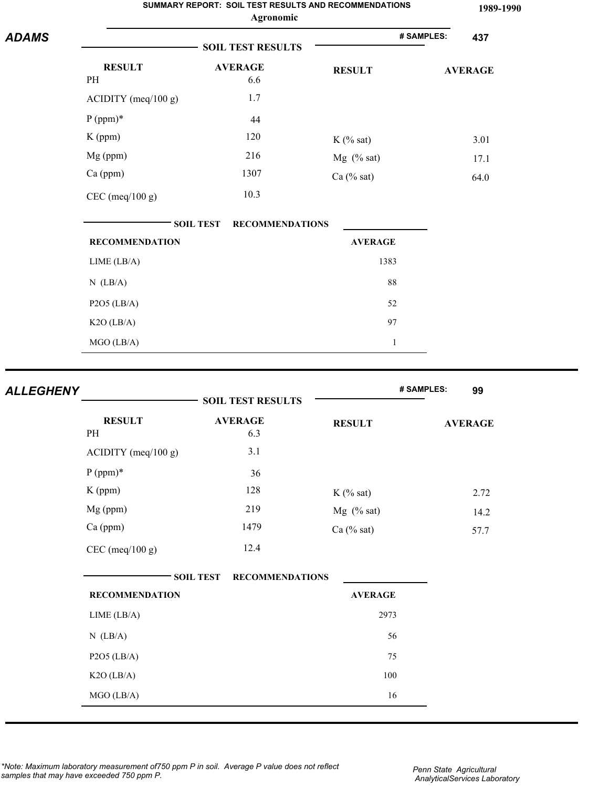|              |                       | SUMMARY REPORT: SOIL TEST RESULTS AND RECOMMENDATIONS<br>Agronomic |                | 1989-1990         |
|--------------|-----------------------|--------------------------------------------------------------------|----------------|-------------------|
| <b>ADAMS</b> |                       | <b>SOIL TEST RESULTS</b>                                           |                | # SAMPLES:<br>437 |
|              | <b>RESULT</b><br>PH   | <b>AVERAGE</b><br>6.6                                              | <b>RESULT</b>  | <b>AVERAGE</b>    |
|              | ACIDITY (meq/100 g)   | 1.7                                                                |                |                   |
|              | $P (ppm)*$            | 44                                                                 |                |                   |
|              | K (ppm)               | 120                                                                | $K$ (% sat)    | 3.01              |
|              | Mg (ppm)              | 216                                                                | Mg (% sat)     | 17.1              |
|              | Ca (ppm)              | 1307                                                               | $Ca$ (% sat)   | 64.0              |
|              | $CEC$ (meq/100 g)     | 10.3                                                               |                |                   |
|              |                       | <b>SOIL TEST</b><br><b>RECOMMENDATIONS</b>                         |                |                   |
|              | <b>RECOMMENDATION</b> |                                                                    | <b>AVERAGE</b> |                   |
|              | LIME (LB/A)           |                                                                    | 1383           |                   |
|              | $N$ (LB/A)            |                                                                    | 88             |                   |
|              | $P2O5$ (LB/A)         |                                                                    | 52             |                   |
|              | K2O (LB/A)            |                                                                    | 97             |                   |
|              | MGO (LB/A)            |                                                                    | $\mathbf{1}$   |                   |
|              |                       |                                                                    |                |                   |

| <b>ALLEGHENY</b> |                       | <b>SOIL TEST RESULTS</b>                   |                | # SAMPLES:<br>99 |
|------------------|-----------------------|--------------------------------------------|----------------|------------------|
|                  | <b>RESULT</b><br>PH   | <b>AVERAGE</b><br>6.3                      | <b>RESULT</b>  | <b>AVERAGE</b>   |
|                  | $ACIDITY$ (meq/100 g) | 3.1                                        |                |                  |
|                  | $P (ppm)*$            | 36                                         |                |                  |
|                  | K (ppm)               | 128                                        | $K$ (% sat)    | 2.72             |
|                  | Mg (ppm)              | 219                                        | $Mg$ (% sat)   | 14.2             |
|                  | Ca (ppm)              | 1479                                       | $Ca$ (% sat)   | 57.7             |
|                  | $CEC$ (meq/100 g)     | 12.4                                       |                |                  |
|                  |                       | <b>SOIL TEST</b><br><b>RECOMMENDATIONS</b> |                |                  |
|                  | <b>RECOMMENDATION</b> |                                            | <b>AVERAGE</b> |                  |
|                  | LIME (LB/A)           |                                            | 2973           |                  |
|                  | $N$ (LB/A)            |                                            | 56             |                  |
|                  | $P2O5$ (LB/A)         |                                            | 75             |                  |
|                  | K2O (LB/A)            |                                            | 100            |                  |
|                  | MGO (LB/A)            |                                            | 16             |                  |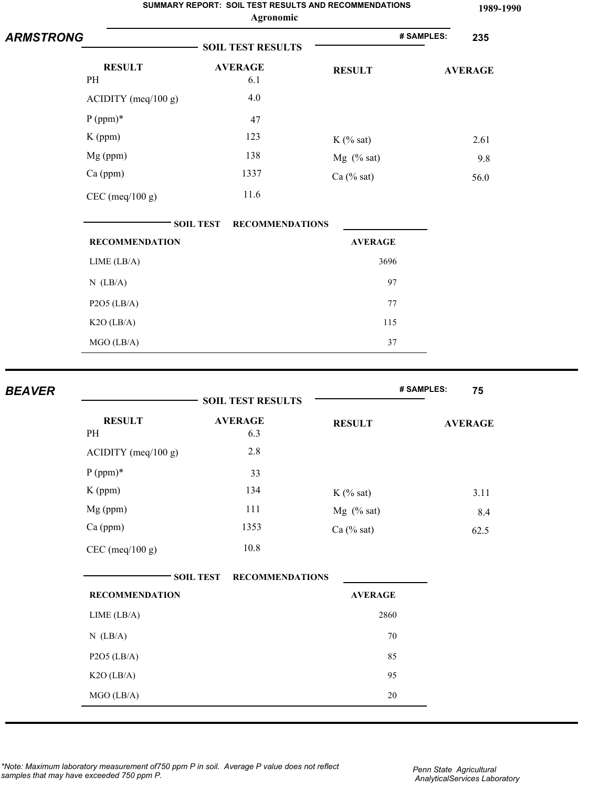|                  |                       | SUMMARY REPORT: SOIL TEST RESULTS AND RECOMMENDATIONS<br>Agronomic |                | 1989-1990         |
|------------------|-----------------------|--------------------------------------------------------------------|----------------|-------------------|
| <b>ARMSTRONG</b> |                       | <b>SOIL TEST RESULTS</b>                                           |                | # SAMPLES:<br>235 |
|                  | <b>RESULT</b>         | <b>AVERAGE</b>                                                     | <b>RESULT</b>  | <b>AVERAGE</b>    |
|                  | PH                    | 6.1                                                                |                |                   |
|                  | ACIDITY (meq/100 g)   | 4.0                                                                |                |                   |
|                  | $P (ppm)*$            | 47                                                                 |                |                   |
|                  | $K$ (ppm)             | 123                                                                | $K$ (% sat)    | 2.61              |
|                  | Mg (ppm)              | 138                                                                | $Mg$ (% sat)   | 9.8               |
|                  | Ca (ppm)              | 1337                                                               | Ca (% sat)     | 56.0              |
|                  | $CEC$ (meq/100 g)     | 11.6                                                               |                |                   |
|                  |                       | <b>SOIL TEST</b><br><b>RECOMMENDATIONS</b>                         |                |                   |
|                  | <b>RECOMMENDATION</b> |                                                                    | <b>AVERAGE</b> |                   |
|                  | LIME (LB/A)           |                                                                    | 3696           |                   |
|                  | $N$ (LB/A)            |                                                                    | 97             |                   |
|                  | $P2O5$ (LB/A)         |                                                                    | 77             |                   |
|                  | $K2O$ (LB/A)          |                                                                    | 115            |                   |
|                  | MGO (LB/A)            |                                                                    | 37             |                   |
|                  |                       |                                                                    |                |                   |
| <b>BEAVER</b>    |                       | <b>SOIL TEST RESULTS</b>                                           |                | # SAMPLES:<br>75  |
|                  |                       |                                                                    |                |                   |
|                  | <b>RESULT</b><br>PH   | <b>AVERAGE</b><br>6.3                                              | <b>RESULT</b>  | <b>AVERAGE</b>    |
|                  | $ACIDITY$ (meq/100 g) | 2.8                                                                |                |                   |

|                       | <b>SOIL TEST RESULTS</b>                   |                |                |
|-----------------------|--------------------------------------------|----------------|----------------|
| <b>RESULT</b><br>PH   | <b>AVERAGE</b><br>6.3                      | <b>RESULT</b>  | <b>AVERAGE</b> |
| $ACIDITY$ (meq/100 g) | 2.8                                        |                |                |
| $P (ppm)*$            | 33                                         |                |                |
| K (ppm)               | 134                                        | $K$ (% sat)    | 3.11           |
| Mg (ppm)              | 111                                        | $Mg$ (% sat)   | 8.4            |
| Ca (ppm)              | 1353                                       | $Ca$ (% sat)   | 62.5           |
| $CEC$ (meq/100 g)     | 10.8                                       |                |                |
|                       | <b>SOIL TEST</b><br><b>RECOMMENDATIONS</b> |                |                |
| <b>RECOMMENDATION</b> |                                            | <b>AVERAGE</b> |                |
| LIME (LB/A)           |                                            | 2860           |                |
| $N$ (LB/A)            |                                            | 70             |                |
| $P2O5$ (LB/A)         |                                            | 85             |                |
| K2O (LB/A)            |                                            | 95             |                |
| MGO (LB/A)            |                                            | $20\,$         |                |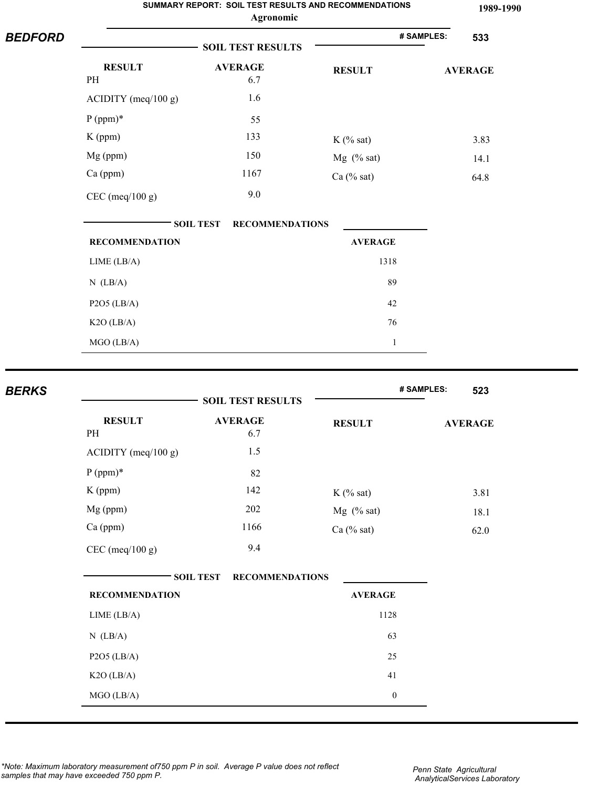| <b>BEDFORD</b> |                       | SUMMARY REPORT: SOIL TEST RESULTS AND RECOMMENDATIONS<br>Agronomic |                |            | 1989-1990      |
|----------------|-----------------------|--------------------------------------------------------------------|----------------|------------|----------------|
|                |                       | # SAMPLES:                                                         | 533            |            |                |
|                | <b>RESULT</b>         | <b>AVERAGE</b>                                                     | <b>RESULT</b>  |            | <b>AVERAGE</b> |
|                | PH                    | 6.7                                                                |                |            |                |
|                | $ACIDITY$ (meq/100 g) | 1.6                                                                |                |            |                |
|                | $P (ppm)*$            | 55                                                                 |                |            |                |
|                | $K$ (ppm)             | 133                                                                | $K$ (% sat)    |            | 3.83           |
|                | Mg (ppm)              | 150                                                                | $Mg$ (% sat)   |            | 14.1           |
|                | Ca (ppm)              | 1167                                                               | Ca (% sat)     |            | 64.8           |
|                | $CEC$ (meq/100 g)     | 9.0                                                                |                |            |                |
|                |                       | <b>SOIL TEST</b><br><b>RECOMMENDATIONS</b>                         |                |            |                |
|                | <b>RECOMMENDATION</b> |                                                                    | <b>AVERAGE</b> |            |                |
|                | LIME (LB/A)           |                                                                    | 1318           |            |                |
|                | $N$ (LB/A)            |                                                                    | 89             |            |                |
|                | $P2O5$ (LB/A)         |                                                                    | 42             |            |                |
|                | $K2O$ (LB/A)          |                                                                    | 76             |            |                |
|                | MGO (LB/A)            |                                                                    | $\mathbf{1}$   |            |                |
|                |                       |                                                                    |                |            |                |
| <b>BERKS</b>   |                       | <b>SOIL TEST RESULTS</b>                                           |                | # SAMPLES: | 523            |
|                | <b>RESULT</b><br>PH   | <b>AVERAGE</b><br>6.7                                              | <b>RESULT</b>  |            | <b>AVERAGE</b> |
|                | ACIDITY (meq/100 g)   | 1.5                                                                |                |            |                |
|                |                       |                                                                    |                |            |                |

|                       | <b>SOIL TEST RESULTS</b>                   |                | # SAMPLES:<br>523 |
|-----------------------|--------------------------------------------|----------------|-------------------|
| <b>RESULT</b><br>PH   | <b>AVERAGE</b><br>6.7                      | <b>RESULT</b>  | <b>AVERAGE</b>    |
| ACIDITY (meq/100 g)   | 1.5                                        |                |                   |
| $P (ppm)*$            | 82                                         |                |                   |
| K (ppm)               | 142                                        | $K$ (% sat)    | 3.81              |
| Mg (ppm)              | 202                                        | $Mg$ (% sat)   | 18.1              |
| Ca (ppm)              | 1166                                       | Ca $(\%$ sat)  | 62.0              |
| $CEC$ (meq/100 g)     | 9.4                                        |                |                   |
|                       | <b>SOIL TEST</b><br><b>RECOMMENDATIONS</b> |                |                   |
| <b>RECOMMENDATION</b> |                                            | <b>AVERAGE</b> |                   |
| LIME (LB/A)           |                                            | 1128           |                   |
| $N$ (LB/A)            |                                            | 63             |                   |
| $P2O5$ (LB/A)         |                                            | 25             |                   |
| K2O (LB/A)            |                                            | 41             |                   |
|                       |                                            |                |                   |

*\*Note: Maximum laboratory measurement of750 ppm P in soil. Average P value does not reflect samples that may have exceeded 750 ppm P.*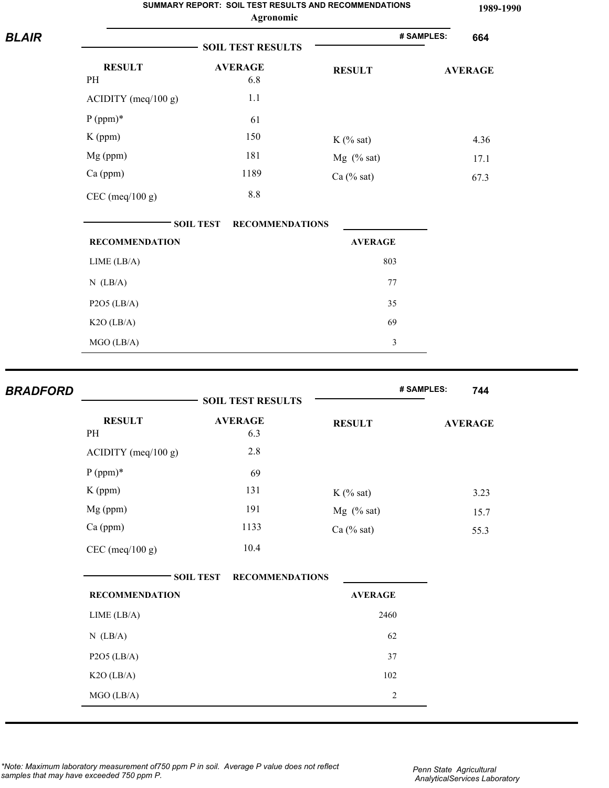|                 |                       | SUMMARY REPORT: SOIL TEST RESULTS AND RECOMMENDATIONS<br>Agronomic |                | 1989-1990         |
|-----------------|-----------------------|--------------------------------------------------------------------|----------------|-------------------|
| <b>BLAIR</b>    |                       | <b>SOIL TEST RESULTS</b>                                           |                | # SAMPLES:<br>664 |
|                 | <b>RESULT</b><br>PH   | <b>AVERAGE</b><br>6.8                                              | <b>RESULT</b>  | <b>AVERAGE</b>    |
|                 | ACIDITY (meq/100 g)   | 1.1                                                                |                |                   |
|                 | $P (ppm)*$            | 61                                                                 |                |                   |
|                 | $K$ (ppm)             | 150                                                                | $K$ (% sat)    | 4.36              |
|                 | Mg (ppm)              | 181                                                                | Mg (% sat)     | 17.1              |
|                 | Ca (ppm)              | 1189                                                               | Ca $(\%$ sat)  | 67.3              |
|                 | $CEC$ (meq/100 g)     | 8.8                                                                |                |                   |
|                 |                       | <b>SOIL TEST</b><br><b>RECOMMENDATIONS</b>                         |                |                   |
|                 | <b>RECOMMENDATION</b> |                                                                    | <b>AVERAGE</b> |                   |
|                 | LIME (LB/A)           |                                                                    | 803            |                   |
|                 | $N$ (LB/A)            |                                                                    | 77             |                   |
|                 | $P2O5$ (LB/A)         |                                                                    | 35             |                   |
|                 | $K2O$ (LB/A)          |                                                                    | 69             |                   |
|                 | $MGO$ (LB/A)          |                                                                    | $\mathfrak{Z}$ |                   |
| <b>BRADFORD</b> |                       | <b>SOIL TEST RESULTS</b>                                           |                | # SAMPLES:<br>744 |
|                 | <b>RESULT</b><br>PH   | <b>AVERAGE</b><br>63                                               | <b>RESULT</b>  | <b>AVERAGE</b>    |

| <b>RESULT</b><br>PH            | <b>AVERAGE</b><br>6.3 | <b>RESULT</b> | <b>AVERAGE</b> |
|--------------------------------|-----------------------|---------------|----------------|
| $\triangle$ CIDITY (meq/100 g) | 2.8                   |               |                |
| $P (ppm)*$                     | 69                    |               |                |
| $K$ (ppm)                      | 131                   | $K$ (% sat)   | 3.23           |
| $Mg$ (ppm)                     | 191                   | $Mg$ (% sat)  | 15.7           |
| $Ca$ (ppm)                     | 1133                  | Ca (% sat)    | 55.3           |
| $CEC$ (meq/100 g)              | 10.4                  |               |                |

| <b>RECOMMENDATION</b> | <b>AVERAGE</b> |
|-----------------------|----------------|
| LIME (LB/A)           | 2460           |
| $N$ (LB/A)            | 62             |
| $P2O5$ (LB/A)         | 37             |
| $K2O$ (LB/A)          | 102            |
| $MGO$ (LB/A)          | $\overline{c}$ |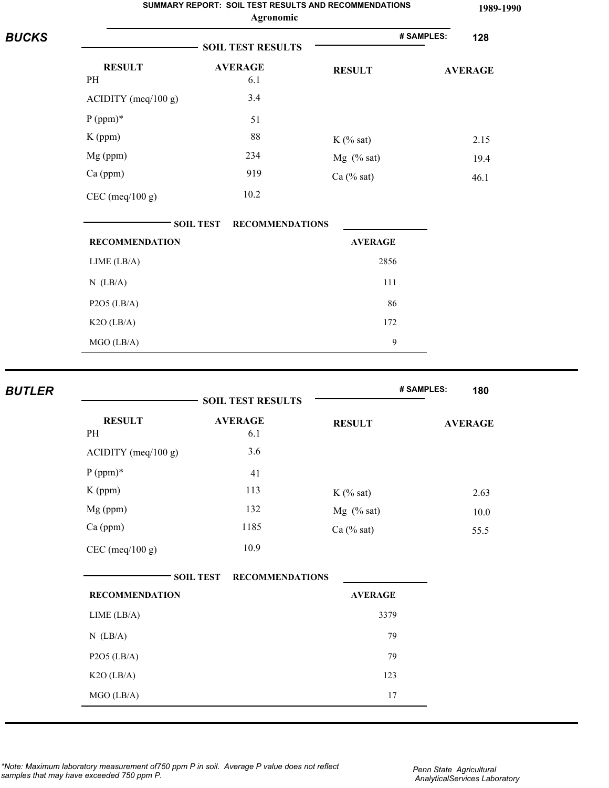|               |                       | SUMMARY REPORT: SOIL TEST RESULTS AND RECOMMENDATIONS<br>Agronomic |                | 1989-1990         |
|---------------|-----------------------|--------------------------------------------------------------------|----------------|-------------------|
| <b>BUCKS</b>  |                       | <b>SOIL TEST RESULTS</b>                                           |                | # SAMPLES:<br>128 |
|               | <b>RESULT</b>         | <b>AVERAGE</b>                                                     | <b>RESULT</b>  | <b>AVERAGE</b>    |
|               | PH                    | 6.1                                                                |                |                   |
|               | $ACIDITY$ (meq/100 g) | 3.4                                                                |                |                   |
|               | $P (ppm)*$            | 51                                                                 |                |                   |
|               | $K$ (ppm)             | 88                                                                 | $K$ (% sat)    | 2.15              |
|               | Mg (ppm)              | 234                                                                | Mg (% sat)     | 19.4              |
|               | Ca (ppm)              | 919                                                                | Ca (% sat)     | 46.1              |
|               | $CEC$ (meq/100 g)     | 10.2                                                               |                |                   |
|               |                       | <b>SOIL TEST</b><br><b>RECOMMENDATIONS</b>                         |                |                   |
|               | <b>RECOMMENDATION</b> |                                                                    | <b>AVERAGE</b> |                   |
|               | LIME (LB/A)           |                                                                    | 2856           |                   |
|               | $N$ (LB/A)            |                                                                    | 111            |                   |
|               | $P2O5$ (LB/A)         |                                                                    | 86             |                   |
|               | $K2O$ (LB/A)          |                                                                    | 172            |                   |
|               | MGO (LB/A)            |                                                                    | $\mathbf{9}$   |                   |
| <b>BUTLER</b> |                       |                                                                    |                | # SAMPLES:<br>180 |
|               |                       | <b>SOIL TEST RESULTS</b>                                           |                |                   |
|               | <b>RESULT</b>         | <b>AVERAGE</b>                                                     | <b>RESULT</b>  | <b>AVERAGE</b>    |
|               | PH                    | 6.1                                                                |                |                   |
|               | ACIDITY (meq/100 g)   | $3.6$                                                              |                |                   |
|               | $P (ppm)*$            | 41                                                                 |                |                   |
|               | K (ppm)               | 113                                                                | $K$ (% sat)    | 2.63              |
|               | Mg (ppm)              | 132                                                                | Mg (% sat)     | $10.0$            |
|               | Ca (ppm)              | 1185                                                               | Ca (% sat)     | 55.5              |
|               |                       | 10.9                                                               |                |                   |

| <b>RECOMMENDATION</b> | <b>AVERAGE</b> |
|-----------------------|----------------|
| LIME (LB/A)           | 3379           |
| $N$ (LB/A)            | 79             |
| $P2O5$ (LB/A)         | 79             |
| $K2O$ (LB/A)          | 123            |
| $MGO$ (LB/A)          | 17             |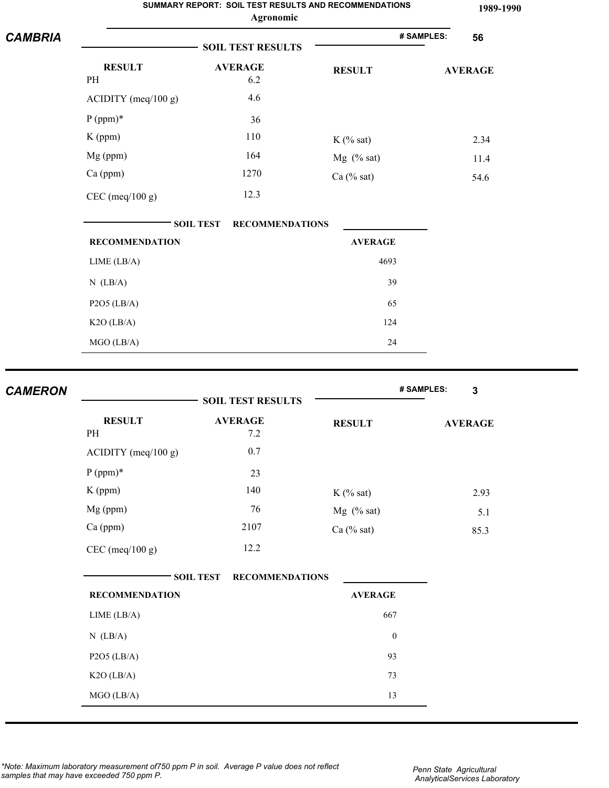|                |                       | SUMMARY REPORT: SOIL TEST RESULTS AND RECOMMENDATIONS<br>Agronomic |                | 1989-1990        |
|----------------|-----------------------|--------------------------------------------------------------------|----------------|------------------|
| <b>CAMBRIA</b> |                       | <b>SOIL TEST RESULTS</b>                                           |                | # SAMPLES:<br>56 |
|                | <b>RESULT</b><br>PH   | <b>AVERAGE</b><br>6.2                                              | <b>RESULT</b>  | <b>AVERAGE</b>   |
|                | $ACIDITY$ (meq/100 g) | 4.6                                                                |                |                  |
|                | $P (ppm)*$            | 36                                                                 |                |                  |
|                | $K$ (ppm)             | 110                                                                | $K$ (% sat)    | 2.34             |
|                | Mg (ppm)              | 164                                                                | $Mg$ (% sat)   | 11.4             |
|                | Ca (ppm)              | 1270                                                               | Ca $(\%$ sat)  | 54.6             |
|                | $CEC$ (meq/100 g)     | 12.3                                                               |                |                  |
|                |                       | <b>RECOMMENDATIONS</b><br><b>SOIL TEST</b>                         |                |                  |
|                | <b>RECOMMENDATION</b> |                                                                    | <b>AVERAGE</b> |                  |
|                | LIME (LB/A)           |                                                                    | 4693           |                  |
|                | $N$ (LB/A)            |                                                                    | 39             |                  |
|                | $P2O5$ (LB/A)         |                                                                    | 65             |                  |
|                | $K2O$ (LB/A)          |                                                                    | 124            |                  |
|                | MGO (LB/A)            |                                                                    | 24             |                  |

| AMERON |                       | <b>SOIL TEST RESULTS</b>                   |                  | # SAMPLES:<br>3 |
|--------|-----------------------|--------------------------------------------|------------------|-----------------|
|        | <b>RESULT</b><br>PH   | <b>AVERAGE</b><br>7.2                      | <b>RESULT</b>    | <b>AVERAGE</b>  |
|        | ACIDITY (meq/100 g)   | $0.7\,$                                    |                  |                 |
|        | $P (ppm)*$            | 23                                         |                  |                 |
|        | $K$ (ppm)             | 140                                        | $K$ (% sat)      | 2.93            |
|        | Mg (ppm)              | 76                                         | $Mg$ (% sat)     | 5.1             |
|        | Ca (ppm)              | 2107                                       | $Ca$ (% sat)     | 85.3            |
|        | $CEC$ (meq/100 g)     | 12.2                                       |                  |                 |
|        |                       | <b>RECOMMENDATIONS</b><br><b>SOIL TEST</b> |                  |                 |
|        | <b>RECOMMENDATION</b> |                                            | <b>AVERAGE</b>   |                 |
|        | LIME (LB/A)           |                                            | 667              |                 |
|        | $N$ (LB/A)            |                                            | $\boldsymbol{0}$ |                 |
|        | $P2O5$ (LB/A)         |                                            | 93               |                 |
|        | $K2O$ (LB/A)          |                                            | 73               |                 |
|        | MGO (LB/A)            |                                            | 13               |                 |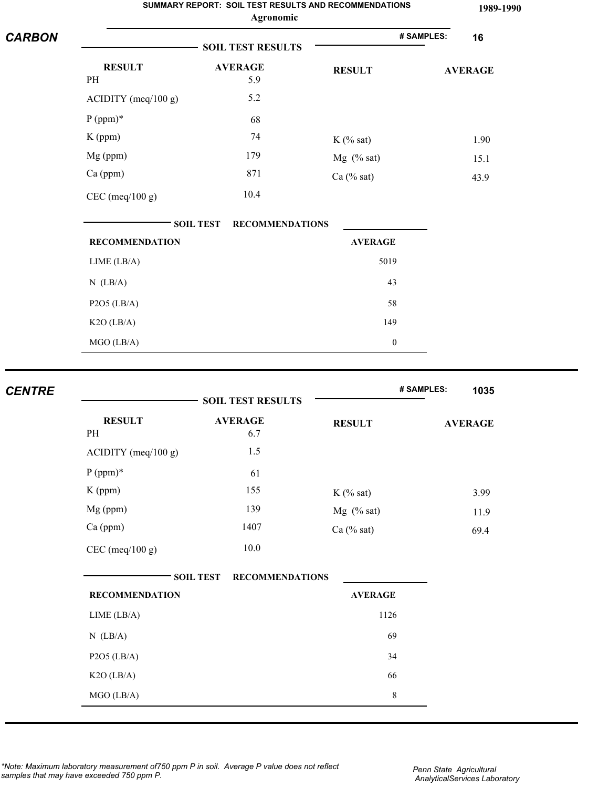| <b>CARBON</b> | SUMMARY REPORT: SOIL TEST RESULTS AND RECOMMENDATIONS<br>Agronomic |                                            |                  |                    |
|---------------|--------------------------------------------------------------------|--------------------------------------------|------------------|--------------------|
|               |                                                                    | # SAMPLES:<br>16                           |                  |                    |
|               | <b>RESULT</b><br>PH                                                | <b>AVERAGE</b><br>5.9                      | <b>RESULT</b>    | <b>AVERAGE</b>     |
|               | $ACIDITY$ (meq/100 g)                                              | 5.2                                        |                  |                    |
|               | $P (ppm)*$                                                         | 68                                         |                  |                    |
|               | K (ppm)                                                            | 74                                         | $K$ (% sat)      | 1.90               |
|               | Mg (ppm)                                                           | 179                                        | $Mg$ (% sat)     | 15.1               |
|               | Ca (ppm)                                                           | 871                                        | Ca $(\%$ sat)    | 43.9               |
|               | $CEC$ (meq/100 g)                                                  | 10.4                                       |                  |                    |
|               |                                                                    | <b>SOIL TEST</b><br><b>RECOMMENDATIONS</b> |                  |                    |
|               | <b>RECOMMENDATION</b>                                              |                                            | <b>AVERAGE</b>   |                    |
|               | LIME (LB/A)                                                        |                                            | 5019             |                    |
|               | $N$ (LB/A)                                                         |                                            | 43               |                    |
|               | $P2O5$ (LB/A)                                                      |                                            | 58               |                    |
|               | $K2O$ (LB/A)                                                       |                                            | 149              |                    |
|               | MGO (LB/A)                                                         |                                            | $\boldsymbol{0}$ |                    |
|               |                                                                    |                                            |                  |                    |
| <b>CENTRE</b> |                                                                    | <b>SOIL TEST RESULTS</b>                   |                  | # SAMPLES:<br>1035 |
|               | <b>RESULT</b><br>PH                                                | <b>AVERAGE</b><br>6.7                      | <b>RESULT</b>    | <b>AVERAGE</b>     |
|               | $ACIDITY$ (meq/100 g)                                              | 1.5                                        |                  |                    |

| <b>RESULT</b>         | <b>AVERAGE</b>                             | <b>RESULT</b>  | <b>AVERAGE</b> |
|-----------------------|--------------------------------------------|----------------|----------------|
| PH                    | 6.7                                        |                |                |
| $ACIDITY$ (meq/100 g) | 1.5                                        |                |                |
| $P (ppm)*$            | 61                                         |                |                |
| $K$ (ppm)             | 155                                        | $K$ (% sat)    | 3.99           |
| Mg (ppm)              | 139                                        | $Mg$ (% sat)   | 11.9           |
| Ca (ppm)              | 1407                                       | $Ca$ (% sat)   | 69.4           |
| $CEC$ (meq/100 g)     | $10.0\,$                                   |                |                |
|                       |                                            |                |                |
|                       |                                            |                |                |
|                       | <b>SOIL TEST</b><br><b>RECOMMENDATIONS</b> |                |                |
| <b>RECOMMENDATION</b> |                                            | <b>AVERAGE</b> |                |
| LIME (LB/A)           |                                            | 1126           |                |
| $N$ (LB/A)            |                                            | 69             |                |
| $P2O5$ (LB/A)         |                                            | 34             |                |
| $K2O$ (LB/A)          |                                            | 66             |                |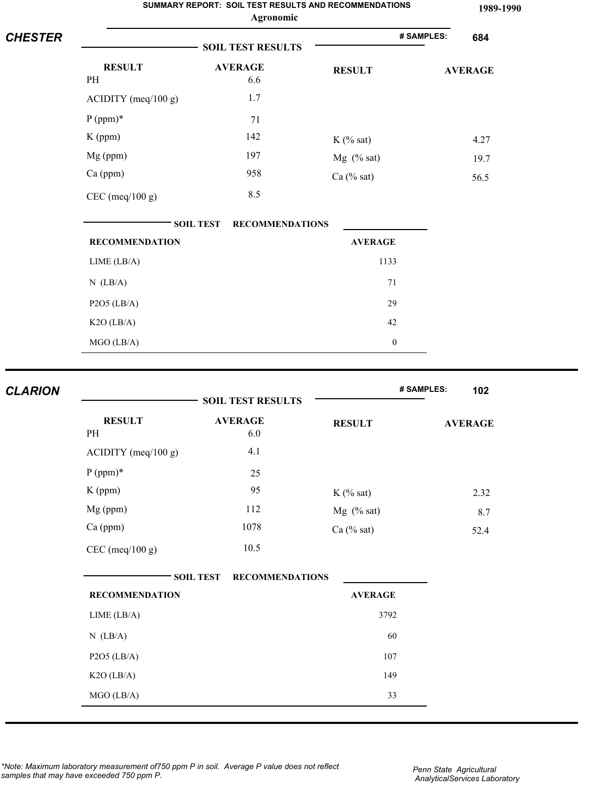| <b>CHESTER</b> | SUMMARY REPORT: SOIL TEST RESULTS AND RECOMMENDATIONS<br>Agronomic |                                            |                   |                   | 1989-1990 |
|----------------|--------------------------------------------------------------------|--------------------------------------------|-------------------|-------------------|-----------|
|                |                                                                    |                                            | # SAMPLES:<br>684 |                   |           |
|                | <b>RESULT</b>                                                      | <b>AVERAGE</b>                             | <b>RESULT</b>     | <b>AVERAGE</b>    |           |
|                | PH                                                                 | 6.6                                        |                   |                   |           |
|                | ACIDITY (meq/100 g)                                                | 1.7                                        |                   |                   |           |
|                | $P (ppm)*$                                                         | 71                                         |                   |                   |           |
|                | $K$ (ppm)                                                          | 142                                        | $K$ (% sat)       | 4.27              |           |
|                | Mg (ppm)                                                           | 197                                        | $Mg$ (% sat)      | 19.7              |           |
|                | Ca (ppm)                                                           | 958                                        | Ca $(\%$ sat)     | 56.5              |           |
|                | $CEC$ (meq/100 g)                                                  | 8.5                                        |                   |                   |           |
|                |                                                                    | <b>SOIL TEST</b><br><b>RECOMMENDATIONS</b> |                   |                   |           |
|                | <b>RECOMMENDATION</b>                                              |                                            | <b>AVERAGE</b>    |                   |           |
|                | LIME (LB/A)                                                        |                                            | 1133              |                   |           |
|                | $N$ (LB/A)                                                         |                                            | 71                |                   |           |
|                | $P2O5$ (LB/A)                                                      |                                            | 29                |                   |           |
|                | K2O (LB/A)                                                         |                                            | 42                |                   |           |
|                | MGO (LB/A)                                                         |                                            | $\boldsymbol{0}$  |                   |           |
|                |                                                                    |                                            |                   |                   |           |
| <b>CLARION</b> |                                                                    | <b>SOIL TEST RESULTS</b>                   |                   | # SAMPLES:<br>102 |           |
|                | <b>RESULT</b>                                                      | <b>AVERAGE</b>                             | <b>RESULT</b>     | <b>AVERAGE</b>    |           |
|                | PH                                                                 | 6.0                                        |                   |                   |           |
|                | ACIDITY (meq/100 g)                                                | 4.1                                        |                   |                   |           |

| <b>RESULT</b><br>PH   | <b>AVERAGE</b><br>6.0                      | <b>RESULT</b>  | <b>AVERAGE</b> |
|-----------------------|--------------------------------------------|----------------|----------------|
| ACIDITY (meq/100 g)   | 4.1                                        |                |                |
| $P (ppm)*$            | 25                                         |                |                |
| $K$ (ppm)             | 95                                         | $K$ (% sat)    | 2.32           |
| Mg (ppm)              | 112                                        | $Mg$ (% sat)   | 8.7            |
| Ca (ppm)              | 1078                                       | $Ca$ (% sat)   | 52.4           |
| $CEC$ (meq/100 g)     | 10.5                                       |                |                |
|                       | <b>SOIL TEST</b><br><b>RECOMMENDATIONS</b> |                |                |
| <b>RECOMMENDATION</b> |                                            | <b>AVERAGE</b> |                |
| LIME (LB/A)           |                                            | 3792           |                |
| $N$ (LB/A)            |                                            | 60             |                |
| $P2O5$ (LB/A)         |                                            | 107            |                |
| $K2O$ (LB/A)          |                                            | 149            |                |
| MGO (LB/A)            |                                            | 33             |                |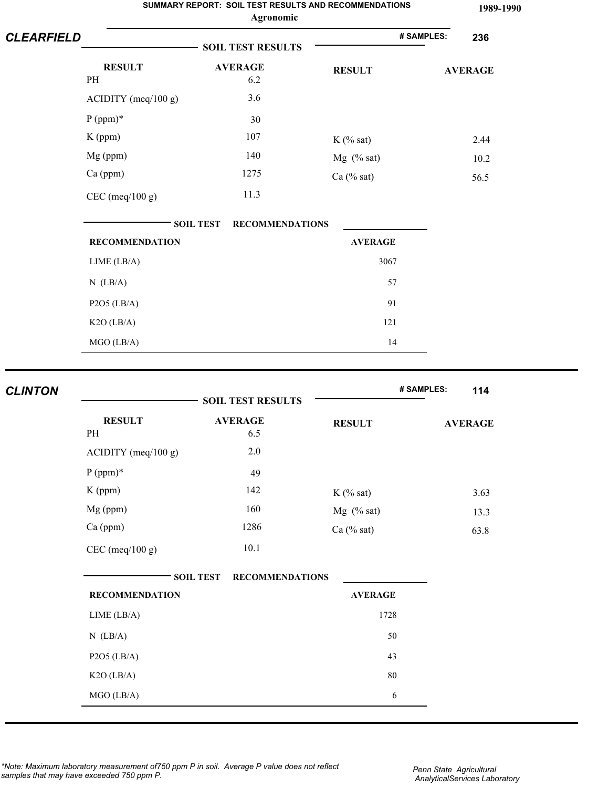| <b>CLEARFIELD</b> | SUMMARY REPORT: SOIL TEST RESULTS AND RECOMMENDATIONS<br>Agronomic |                                            |                   |                |  |
|-------------------|--------------------------------------------------------------------|--------------------------------------------|-------------------|----------------|--|
|                   |                                                                    |                                            | # SAMPLES:<br>236 |                |  |
|                   | <b>RESULT</b>                                                      | <b>AVERAGE</b>                             | <b>RESULT</b>     | <b>AVERAGE</b> |  |
|                   | PH                                                                 | 6.2                                        |                   |                |  |
|                   | ACIDITY (meq/100 g)                                                | 3.6                                        |                   |                |  |
|                   | $P (ppm)*$                                                         | 30                                         |                   |                |  |
|                   | K (ppm)                                                            | 107                                        | $K$ (% sat)       | 2.44           |  |
|                   | Mg (ppm)                                                           | 140                                        | Mg $(% sat)$      | 10.2           |  |
|                   | Ca (ppm)                                                           | 1275                                       | Ca $(\%$ sat)     | 56.5           |  |
|                   | $CEC$ (meq/100 g)                                                  | 11.3                                       |                   |                |  |
|                   |                                                                    | <b>SOIL TEST</b><br><b>RECOMMENDATIONS</b> |                   |                |  |
|                   | <b>RECOMMENDATION</b>                                              |                                            | <b>AVERAGE</b>    |                |  |
|                   | LIME (LB/A)                                                        |                                            | 3067              |                |  |
|                   | $N$ (LB/A)                                                         |                                            | 57                |                |  |
|                   | $P2O5$ (LB/A)                                                      |                                            | 91                |                |  |
|                   | K2O (LB/A)                                                         |                                            | 121               |                |  |
|                   | MGO (LB/A)                                                         |                                            | 14                |                |  |
|                   |                                                                    |                                            |                   | 114            |  |
| <b>CLINTON</b>    | # SAMPLES:<br><b>SOIL TEST RESULTS</b>                             |                                            |                   |                |  |
|                   | <b>RESULT</b><br>$\ensuremath{\mathrm{PH}}\xspace$                 | <b>AVERAGE</b><br>6.5                      | <b>RESULT</b>     | <b>AVERAGE</b> |  |
|                   | ACIDITY (meq/100 g)                                                | 2.0                                        |                   |                |  |
|                   | $P (ppm)*$                                                         | 49                                         |                   |                |  |
|                   | $K$ (ppm)                                                          | 142                                        | $V(0/\text{sat})$ | 2.62           |  |

|                       | <b>SOIL TEST RESULTS</b>                   |                | # SAMPLES:<br>114 |
|-----------------------|--------------------------------------------|----------------|-------------------|
| <b>RESULT</b><br>PH   | <b>AVERAGE</b><br>6.5                      | <b>RESULT</b>  | <b>AVERAGE</b>    |
| $ACIDITY$ (meq/100 g) | 2.0                                        |                |                   |
| $P (ppm)*$            | 49                                         |                |                   |
| K (ppm)               | 142                                        | $K$ (% sat)    | 3.63              |
| Mg (ppm)              | 160                                        | Mg (% sat)     | 13.3              |
| Ca (ppm)              | 1286                                       | $Ca$ (% sat)   | 63.8              |
| $CEC$ (meq/100 g)     | 10.1                                       |                |                   |
|                       | <b>SOIL TEST</b><br><b>RECOMMENDATIONS</b> |                |                   |
| <b>RECOMMENDATION</b> |                                            | <b>AVERAGE</b> |                   |
| LIME (LB/A)           |                                            | 1728           |                   |
| $N$ (LB/A)            |                                            | 50             |                   |
| $P2O5$ (LB/A)         |                                            | 43             |                   |
| K2O (LB/A)            |                                            | $80\,$         |                   |
| MGO (LB/A)            |                                            | $\sqrt{6}$     |                   |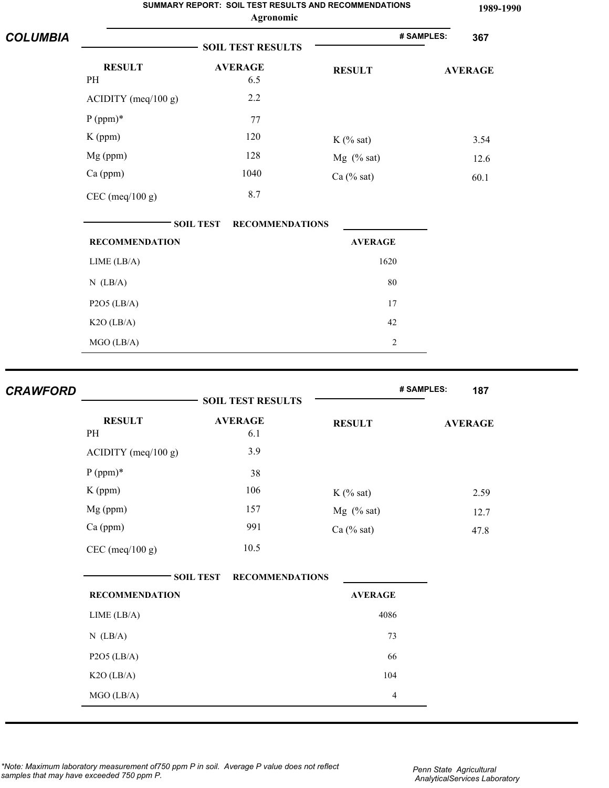| <b>COLUMBIA</b> | SUMMARY REPORT: SOIL TEST RESULTS AND RECOMMENDATIONS<br>Agronomic |                          |                |            |                |
|-----------------|--------------------------------------------------------------------|--------------------------|----------------|------------|----------------|
|                 |                                                                    | <b>SOIL TEST RESULTS</b> |                | # SAMPLES: | 367            |
|                 | <b>RESULT</b><br>PH                                                | <b>AVERAGE</b><br>6.5    | <b>RESULT</b>  |            | <b>AVERAGE</b> |
|                 | ACIDITY (meq/100 g)                                                | 2.2                      |                |            |                |
|                 | $P (ppm)*$                                                         | 77                       |                |            |                |
|                 | K (ppm)                                                            | 120                      | $K$ (% sat)    |            | 3.54           |
|                 | Mg (ppm)                                                           | 128                      | $Mg$ (% sat)   |            | 12.6           |
|                 | $Ca$ (ppm)                                                         | 1040                     | Ca (% sat)     |            | 60.1           |
|                 | $CEC$ (meq/100 g)                                                  | 8.7                      |                |            |                |
|                 | <b>SOIL TEST</b><br><b>RECOMMENDATIONS</b>                         |                          |                |            |                |
|                 | <b>RECOMMENDATION</b>                                              |                          | <b>AVERAGE</b> |            |                |
|                 | LIME (LB/A)                                                        |                          | 1620           |            |                |
|                 | $N$ (LB/A)                                                         |                          | 80             |            |                |
|                 | $P2O5$ (LB/A)                                                      |                          | 17             |            |                |
|                 | $K2O$ (LB/A)                                                       |                          | 42             |            |                |
|                 | MGO (LB/A)                                                         |                          | $\overline{c}$ |            |                |
| <b>CRAWFORD</b> |                                                                    | <b>SOIL TEST RESULTS</b> |                | # SAMPLES: | 187            |

| <b>RESULT</b>         | <b>AVERAGE</b>                             | <b>RESULT</b>  | <b>AVERAGE</b> |
|-----------------------|--------------------------------------------|----------------|----------------|
| PH                    | 6.1                                        |                |                |
| $ACIDITY$ (meq/100 g) | 3.9                                        |                |                |
| $P (ppm)*$            | 38                                         |                |                |
| $K$ (ppm)             | 106                                        | $K$ (% sat)    | 2.59           |
| $Mg$ (ppm)            | 157                                        | $Mg$ (% sat)   | 12.7           |
| $Ca$ (ppm)            | 991                                        | Ca (% sat)     | 47.8           |
| $CEC$ (meq/100 g)     | 10.5                                       |                |                |
|                       | <b>RECOMMENDATIONS</b><br><b>SOIL TEST</b> |                |                |
| <b>RECOMMENDATION</b> |                                            | <b>AVERAGE</b> |                |

| <b>RECOMMENDATION</b> | <b>AVERAGE</b> |  |
|-----------------------|----------------|--|
| LIME (LB/A)           | 4086           |  |
| $N$ (LB/A)            | 73             |  |
| $P2O5$ (LB/A)         | 66             |  |
| $K2O$ (LB/A)          | 104            |  |
| $MGO$ (LB/A)          | 4              |  |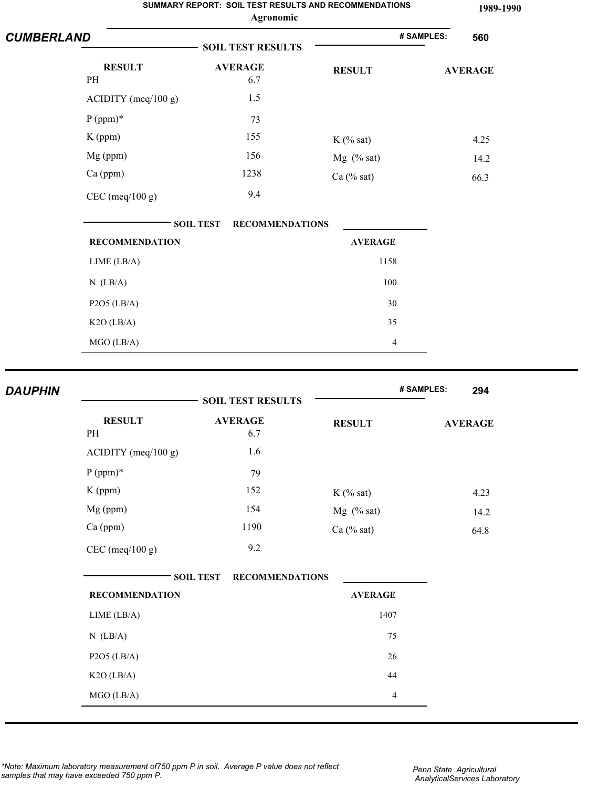|                   |                       | Agronomic                                  | SUMMARY REPORT: SOIL TEST RESULTS AND RECOMMENDATIONS |            | 1989-1990      |
|-------------------|-----------------------|--------------------------------------------|-------------------------------------------------------|------------|----------------|
| <b>CUMBERLAND</b> |                       | <b>SOIL TEST RESULTS</b>                   |                                                       | # SAMPLES: | 560            |
| PH                | <b>RESULT</b>         | <b>AVERAGE</b><br>6.7                      | <b>RESULT</b>                                         |            | <b>AVERAGE</b> |
|                   | $ACIDITY$ (meq/100 g) | 1.5                                        |                                                       |            |                |
| $P (ppm)*$        |                       | 73                                         |                                                       |            |                |
| $K$ (ppm)         |                       | 155                                        | $K$ (% sat)                                           |            | 4.25           |
| Mg (ppm)          |                       | 156                                        | $Mg$ (% sat)                                          |            | 14.2           |
| Ca (ppm)          |                       | 1238                                       | Ca (% sat)                                            |            | 66.3           |
|                   | $CEC$ (meq/100 g)     | 9.4                                        |                                                       |            |                |
|                   |                       | <b>SOIL TEST</b><br><b>RECOMMENDATIONS</b> |                                                       |            |                |
|                   | <b>RECOMMENDATION</b> |                                            | <b>AVERAGE</b>                                        |            |                |
|                   | LIME (LB/A)           |                                            | 1158                                                  |            |                |
| $N$ (LB/A)        |                       |                                            | 100                                                   |            |                |
|                   | $P2O5$ (LB/A)         |                                            | 30                                                    |            |                |
|                   | K2O (LB/A)            |                                            | 35                                                    |            |                |
|                   | MGO (LB/A)            |                                            | 4                                                     |            |                |
| <b>DAUPHIN</b>    |                       |                                            |                                                       | # SAMPLES: | 294            |
|                   |                       | <b>SOIL TEST RESULTS</b>                   |                                                       |            |                |

| <b>RESULT</b><br>PH   | <b>AVERAGE</b>                             | <b>RESULT</b>  | <b>AVERAGE</b> |
|-----------------------|--------------------------------------------|----------------|----------------|
|                       | 6.7                                        |                |                |
| $ACIDITY$ (meq/100 g) | 1.6                                        |                |                |
| $P (ppm)*$            | 79                                         |                |                |
| $K$ (ppm)             | 152                                        | $K$ (% sat)    | 4.23           |
| $Mg$ (ppm)            | 154                                        | $Mg$ (% sat)   | 14.2           |
| $Ca$ (ppm)            | 1190                                       | Ca $(\%$ sat)  | 64.8           |
| $CEC$ (meq/100 g)     | 9.2                                        |                |                |
|                       | <b>SOIL TEST</b><br><b>RECOMMENDATIONS</b> |                |                |
| <b>RECOMMENDATION</b> |                                            | <b>AVERAGE</b> |                |
| LIME (LB/A)           |                                            | 1407           |                |

| $N$ (LB/A)    | 75 |
|---------------|----|
| $P2O5$ (LB/A) | 26 |
| $K2O$ (LB/A)  | 44 |
| $MGO$ (LB/A)  |    |
|               |    |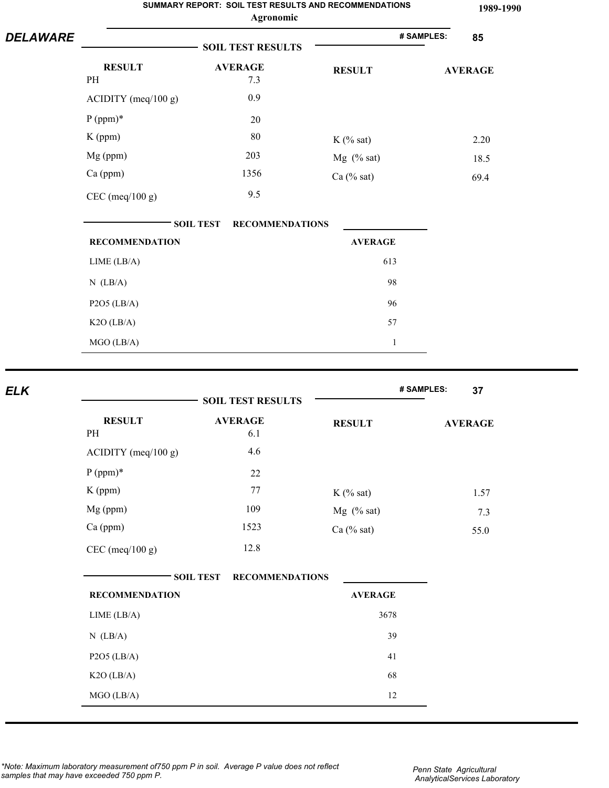|                 |                       |                  | Agronomic                | <b>SUMMARY REPORT: SOIL TEST RESULTS AND RECOMMENDATIONS</b> |            | 1989-1990      |
|-----------------|-----------------------|------------------|--------------------------|--------------------------------------------------------------|------------|----------------|
| <b>DELAWARE</b> |                       |                  | <b>SOIL TEST RESULTS</b> |                                                              | # SAMPLES: | 85             |
|                 | <b>RESULT</b><br>PH   |                  | <b>AVERAGE</b><br>7.3    | <b>RESULT</b>                                                |            | <b>AVERAGE</b> |
|                 | $ACIDITY$ (meq/100 g) |                  | 0.9                      |                                                              |            |                |
|                 | $P (ppm)*$            |                  | 20                       |                                                              |            |                |
|                 | K (ppm)               |                  | 80                       | $K$ (% sat)                                                  |            | 2.20           |
|                 | Mg (ppm)              |                  | 203                      | $Mg$ (% sat)                                                 |            | 18.5           |
|                 | Ca (ppm)              |                  | 1356                     | $Ca$ (% sat)                                                 |            | 69.4           |
|                 | $CEC$ (meq/100 g)     |                  | 9.5                      |                                                              |            |                |
|                 |                       | <b>SOIL TEST</b> | <b>RECOMMENDATIONS</b>   |                                                              |            |                |
|                 | <b>RECOMMENDATION</b> |                  |                          | <b>AVERAGE</b>                                               |            |                |
|                 | LIME (LB/A)           |                  |                          | 613                                                          |            |                |
|                 | $N$ (LB/A)            |                  |                          | 98                                                           |            |                |
|                 | $P2O5$ (LB/A)         |                  |                          | 96                                                           |            |                |
|                 | $K2O$ (LB/A)          |                  |                          | 57                                                           |            |                |
|                 | MGO (LB/A)            |                  |                          | $\mathbf{1}$                                                 |            |                |
|                 |                       |                  |                          |                                                              |            |                |

|                       | <b>SOIL TEST RESULTS</b>                   |                | # SAMPLES:<br>37 |
|-----------------------|--------------------------------------------|----------------|------------------|
| <b>RESULT</b><br>PH   | <b>AVERAGE</b><br>6.1                      | <b>RESULT</b>  | <b>AVERAGE</b>   |
| ACIDITY (meq/100 g)   | 4.6                                        |                |                  |
| $P (ppm)*$            | 22                                         |                |                  |
| K (ppm)               | 77                                         | $K$ (% sat)    | 1.57             |
| Mg (ppm)              | 109                                        | Mg (% sat)     | 7.3              |
| Ca (ppm)              | 1523                                       | $Ca$ (% sat)   | 55.0             |
| $CEC$ (meq/100 g)     | 12.8                                       |                |                  |
|                       | <b>SOIL TEST</b><br><b>RECOMMENDATIONS</b> |                |                  |
| <b>RECOMMENDATION</b> |                                            | <b>AVERAGE</b> |                  |
| LIME (LB/A)           |                                            | 3678           |                  |
| $N$ (LB/A)            |                                            | 39             |                  |
| $P2O5$ (LB/A)         |                                            | 41             |                  |
| $K2O$ (LB/A)          |                                            | 68             |                  |
| MGO (LB/A)            |                                            | 12             |                  |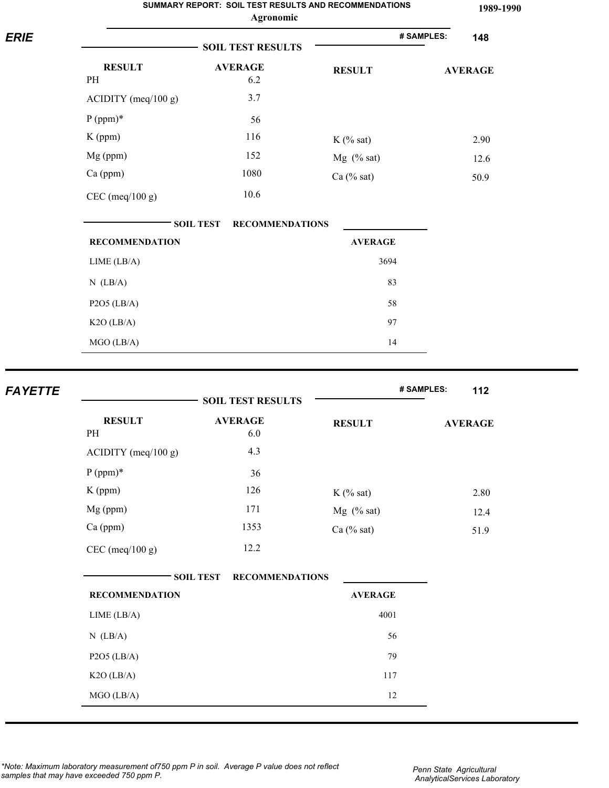|                |                       | Agronomic                                  |                | 1989-1990         |
|----------------|-----------------------|--------------------------------------------|----------------|-------------------|
| <b>ERIE</b>    |                       | <b>SOIL TEST RESULTS</b>                   |                | # SAMPLES:<br>148 |
|                | <b>RESULT</b><br>PH   | <b>AVERAGE</b><br>6.2                      | <b>RESULT</b>  | <b>AVERAGE</b>    |
|                |                       | 3.7                                        |                |                   |
|                | $ACIDITY$ (meq/100 g) |                                            |                |                   |
|                | $P (ppm)*$            | 56                                         |                |                   |
|                | $K$ (ppm)             | 116                                        | $K$ (% sat)    | 2.90              |
|                | Mg (ppm)              | 152                                        | $Mg$ (% sat)   | 12.6              |
|                | Ca (ppm)              | 1080                                       | Ca (% sat)     | 50.9              |
|                | $CEC$ (meq/100 g)     | 10.6                                       |                |                   |
|                |                       | <b>SOIL TEST</b><br><b>RECOMMENDATIONS</b> |                |                   |
|                | <b>RECOMMENDATION</b> |                                            | <b>AVERAGE</b> |                   |
|                | LIME (LB/A)           |                                            | 3694           |                   |
|                | $N$ (LB/A)            |                                            | 83             |                   |
|                | $P2O5$ (LB/A)         |                                            | 58             |                   |
|                | K2O (LB/A)            |                                            | 97             |                   |
|                | MGO (LB/A)            |                                            | 14             |                   |
|                |                       |                                            |                |                   |
| <b>FAYETTE</b> |                       | <b>SOIL TEST RESULTS</b>                   |                | # SAMPLES:<br>112 |
|                | <b>RESULT</b>         | <b>AVERAGE</b>                             | <b>RESULT</b>  |                   |
|                | PH                    | 6.0                                        |                | <b>AVERAGE</b>    |
|                | ACIDITY (meq/100 g)   | 4.3                                        |                |                   |
|                | $P (ppm)*$            | 36                                         |                |                   |
|                | $K$ (ppm)             | 126                                        | $K$ (% sat)    | 2.80              |
|                | Mg (ppm)              | 171                                        | $Mg$ (% sat)   | 12.4              |
|                | Ca (ppm)              | 1353                                       | Ca (% sat)     | 51.9              |
|                | CEC (meq/100 g)       | 12.2                                       |                |                   |
|                |                       | <b>SOIL TEST</b><br><b>RECOMMENDATIONS</b> |                |                   |
|                | <b>RECOMMENDATION</b> |                                            | <b>AVERAGE</b> |                   |
|                | LIME (LB/A)           |                                            | 4001           |                   |
|                | $N$ (LB/A)            |                                            | 56             |                   |

P2O5 (LB/A) 79 K<sub>2</sub>O (LB/A) 117  $MGO (LB/A)$  12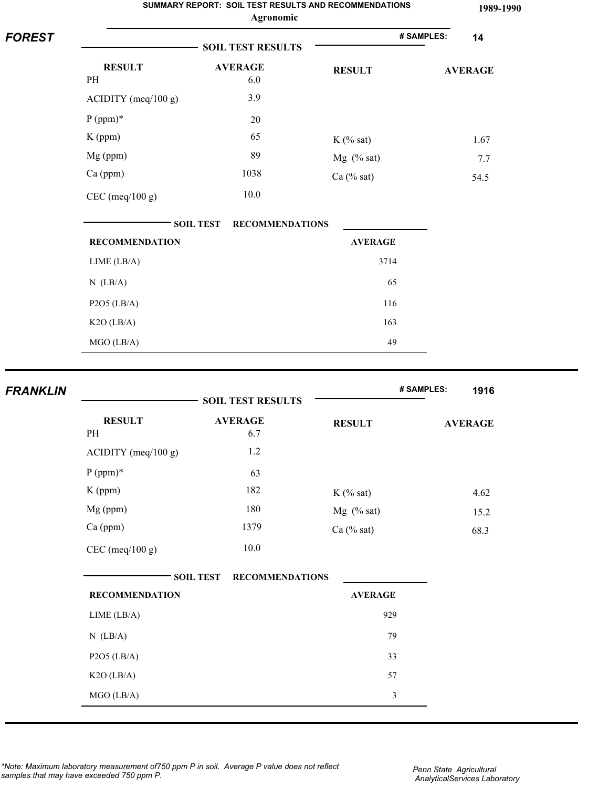|                 | SUMMARY REPORT: SOIL TEST RESULTS AND RECOMMENDATIONS<br>Agronomic |                                            |                |                    |  |
|-----------------|--------------------------------------------------------------------|--------------------------------------------|----------------|--------------------|--|
| <b>FOREST</b>   |                                                                    | <b>SOIL TEST RESULTS</b>                   |                | # SAMPLES:<br>14   |  |
|                 | <b>RESULT</b>                                                      | <b>AVERAGE</b>                             | <b>RESULT</b>  | <b>AVERAGE</b>     |  |
|                 | PH                                                                 | 6.0                                        |                |                    |  |
|                 | $ACIDITY$ (meq/100 g)                                              | 3.9                                        |                |                    |  |
|                 | $P (ppm)*$                                                         | 20                                         |                |                    |  |
|                 | K (ppm)                                                            | 65                                         | $K$ (% sat)    | 1.67               |  |
|                 | Mg (ppm)                                                           | 89                                         | $Mg$ (% sat)   | 7.7                |  |
|                 | Ca (ppm)                                                           | 1038                                       | Ca $(\%$ sat)  | 54.5               |  |
|                 | $CEC$ (meq/100 g)                                                  | 10.0                                       |                |                    |  |
|                 |                                                                    | <b>SOIL TEST</b><br><b>RECOMMENDATIONS</b> |                |                    |  |
|                 | <b>RECOMMENDATION</b>                                              |                                            | <b>AVERAGE</b> |                    |  |
|                 | LIME (LB/A)                                                        |                                            | 3714           |                    |  |
|                 | $N$ (LB/A)                                                         |                                            | 65             |                    |  |
|                 | $P2O5$ (LB/A)                                                      |                                            | 116            |                    |  |
|                 | $K2O$ (LB/A)                                                       |                                            | 163            |                    |  |
|                 | MGO (LB/A)                                                         |                                            | 49             |                    |  |
| <b>FRANKLIN</b> |                                                                    |                                            |                | # SAMPLES:<br>1916 |  |
|                 |                                                                    | <b>SOIL TEST RESULTS</b>                   |                |                    |  |

|                       | <b>SOIL TEST RESULTS</b>                   |                |                |
|-----------------------|--------------------------------------------|----------------|----------------|
| <b>RESULT</b><br>PH   | <b>AVERAGE</b><br>6.7                      | <b>RESULT</b>  | <b>AVERAGE</b> |
| $ACIDITY$ (meq/100 g) | $1.2\,$                                    |                |                |
| $P (ppm)*$            | 63                                         |                |                |
| $K$ (ppm)             | 182                                        | $K$ (% sat)    | 4.62           |
| Mg (ppm)              | 180                                        | $Mg$ (% sat)   | 15.2           |
| Ca (ppm)              | 1379                                       | $Ca$ (% sat)   | 68.3           |
| $CEC$ (meq/100 g)     | $10.0\,$                                   |                |                |
|                       | <b>SOIL TEST</b><br><b>RECOMMENDATIONS</b> |                |                |
| <b>RECOMMENDATION</b> |                                            | <b>AVERAGE</b> |                |
| LIME (LB/A)           |                                            | 929            |                |
| $N$ (LB/A)            |                                            | 79             |                |
| P2O5 (LB/A)           |                                            | 33             |                |
| $K2O$ (LB/A)          |                                            | 57             |                |
| MGO (LB/A)            |                                            | 3              |                |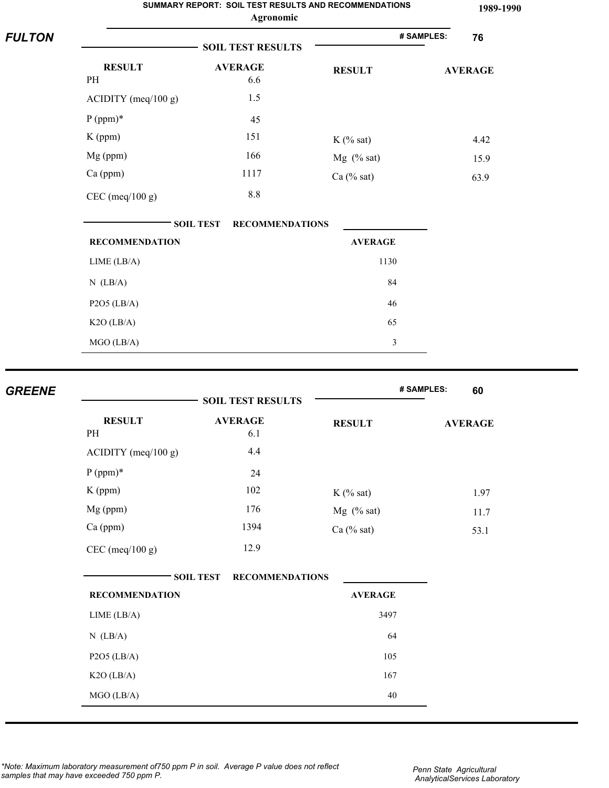|               |                                              | SUMMARY REPORT: SOIL TEST RESULTS AND RECOMMENDATIONS<br>Agronomic |                | 1989-1990        |
|---------------|----------------------------------------------|--------------------------------------------------------------------|----------------|------------------|
| <b>FULTON</b> |                                              | <b>SOIL TEST RESULTS</b>                                           |                | # SAMPLES:<br>76 |
|               | <b>RESULT</b>                                | <b>AVERAGE</b>                                                     | <b>RESULT</b>  | <b>AVERAGE</b>   |
|               | PH                                           | 6.6                                                                |                |                  |
|               | $ACIDITY$ (meq/100 g)                        | 1.5                                                                |                |                  |
|               | $P (ppm)*$                                   | 45                                                                 |                |                  |
|               | $K$ (ppm)                                    | 151                                                                | $K$ (% sat)    | 4.42             |
|               | Mg (ppm)                                     | 166                                                                | Mg (% sat)     | 15.9             |
|               | Ca (ppm)                                     | 1117                                                               | Ca $(\%$ sat)  | 63.9             |
|               | $CEC$ (meq/100 g)                            | $8.8\,$                                                            |                |                  |
|               |                                              | <b>SOIL TEST</b><br><b>RECOMMENDATIONS</b>                         |                |                  |
|               | <b>RECOMMENDATION</b>                        |                                                                    | <b>AVERAGE</b> |                  |
|               | LIME (LB/A)                                  |                                                                    | 1130           |                  |
|               | $N$ (LB/A)                                   |                                                                    | 84             |                  |
|               | $P2O5$ (LB/A)                                |                                                                    | 46             |                  |
|               | K2O (LB/A)                                   |                                                                    | 65             |                  |
|               | $MGO$ (LB/A)                                 |                                                                    | $\mathfrak{Z}$ |                  |
| <b>GREENE</b> |                                              |                                                                    |                | # SAMPLES:<br>60 |
|               |                                              | <b>SOIL TEST RESULTS</b>                                           |                |                  |
|               | <b>RESULT</b><br>PH                          | <b>AVERAGE</b><br>6.1                                              | <b>RESULT</b>  | <b>AVERAGE</b>   |
|               | $ACIDITY$ (meq/100 g)                        | 4.4                                                                |                |                  |
|               | $\mathbf{D}$ ( $\ldots$ ) $\mathbf{\hat{z}}$ | $\sim$ $\sim$                                                      |                |                  |

|                       | <b>POID TEPT MEPOLIP</b>                   |                |                |
|-----------------------|--------------------------------------------|----------------|----------------|
| <b>RESULT</b><br>PH   | <b>AVERAGE</b><br>6.1                      | <b>RESULT</b>  | <b>AVERAGE</b> |
| $ACIDITY$ (meq/100 g) | 4.4                                        |                |                |
| $P (ppm)*$            | 24                                         |                |                |
| $K$ (ppm)             | 102                                        | $K$ (% sat)    | 1.97           |
| Mg (ppm)              | 176                                        | $Mg$ (% sat)   | 11.7           |
| Ca (ppm)              | 1394                                       | $Ca$ (% sat)   | 53.1           |
| $CEC$ (meq/100 g)     | 12.9                                       |                |                |
| <b>RECOMMENDATION</b> | <b>SOIL TEST</b><br><b>RECOMMENDATIONS</b> | <b>AVERAGE</b> |                |
| LIME (LB/A)           |                                            | 3497           |                |
| $N$ (LB/A)            |                                            | 64             |                |
|                       |                                            |                |                |
| $P2O5$ (LB/A)         |                                            | 105            |                |
| $K2O$ (LB/A)          |                                            | 167            |                |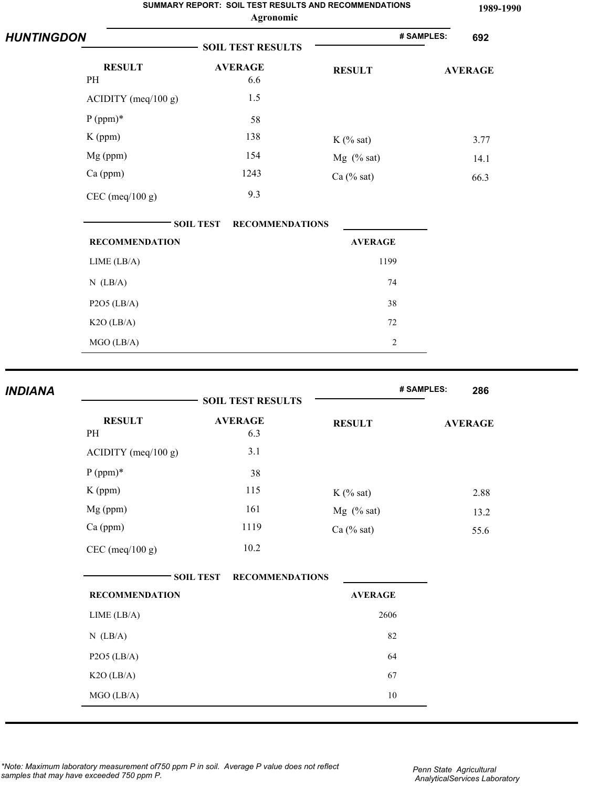|                   |                       | SUMMARY REPORT: SOIL TEST RESULTS AND RECOMMENDATIONS<br>Agronomic |                | 1989-1990         |
|-------------------|-----------------------|--------------------------------------------------------------------|----------------|-------------------|
| <b>HUNTINGDON</b> |                       | <b>SOIL TEST RESULTS</b>                                           |                | # SAMPLES:<br>692 |
|                   | <b>RESULT</b>         | <b>AVERAGE</b>                                                     | <b>RESULT</b>  | <b>AVERAGE</b>    |
|                   | PH                    | 6.6                                                                |                |                   |
|                   | $ACIDITY$ (meq/100 g) | 1.5                                                                |                |                   |
|                   | $P (ppm)*$            | 58                                                                 |                |                   |
|                   | $K$ (ppm)             | 138                                                                | $K$ (% sat)    | 3.77              |
|                   | Mg (ppm)              | 154                                                                | $Mg$ (% sat)   | 14.1              |
|                   | Ca (ppm)              | 1243                                                               | $Ca$ (% sat)   | 66.3              |
|                   | $CEC$ (meq/100 g)     | 9.3                                                                |                |                   |
|                   |                       | <b>SOIL TEST</b><br><b>RECOMMENDATIONS</b>                         |                |                   |
|                   | <b>RECOMMENDATION</b> |                                                                    | <b>AVERAGE</b> |                   |
|                   | LIME (LB/A)           |                                                                    | 1199           |                   |
|                   | $N$ (LB/A)            |                                                                    | 74             |                   |
|                   | $P2O5$ (LB/A)         |                                                                    | 38             |                   |
|                   | $K2O$ (LB/A)          |                                                                    | 72             |                   |
|                   | MGO (LB/A)            |                                                                    | $\overline{c}$ |                   |
|                   |                       |                                                                    |                |                   |
| <b>INDIANA</b>    |                       | <b>SOIL TEST RESULTS</b>                                           |                | # SAMPLES:<br>286 |
|                   | <b>RESULT</b><br>PH   | <b>AVERAGE</b><br>6.3                                              | <b>RESULT</b>  | <b>AVERAGE</b>    |
|                   | $ACIDITY$ (meq/100 g) | 3.1                                                                |                |                   |

|                       | <b>DOILL LEDT IVEDULLE</b>                 |                |                |
|-----------------------|--------------------------------------------|----------------|----------------|
| <b>RESULT</b><br>PH   | <b>AVERAGE</b><br>6.3                      | <b>RESULT</b>  | <b>AVERAGE</b> |
| $ACIDITY$ (meq/100 g) | 3.1                                        |                |                |
| $P (ppm)*$            | 38                                         |                |                |
| K (ppm)               | 115                                        | $K$ (% sat)    | 2.88           |
| Mg (ppm)              | 161                                        | $Mg$ (% sat)   | 13.2           |
| Ca (ppm)              | 1119                                       | $Ca$ (% sat)   | 55.6           |
| $CEC$ (meq/100 g)     | 10.2                                       |                |                |
|                       |                                            |                |                |
| <b>RECOMMENDATION</b> | <b>SOIL TEST</b><br><b>RECOMMENDATIONS</b> | <b>AVERAGE</b> |                |
| LIME (LB/A)           |                                            | 2606           |                |
| $N$ (LB/A)            |                                            | 82             |                |
| $P2O5$ (LB/A)         |                                            | 64             |                |
| K2O (LB/A)            |                                            | 67             |                |
|                       |                                            |                |                |

*\*Note: Maximum laboratory measurement of750 ppm P in soil. Average P value does not reflect samples that may have exceeded 750 ppm P.*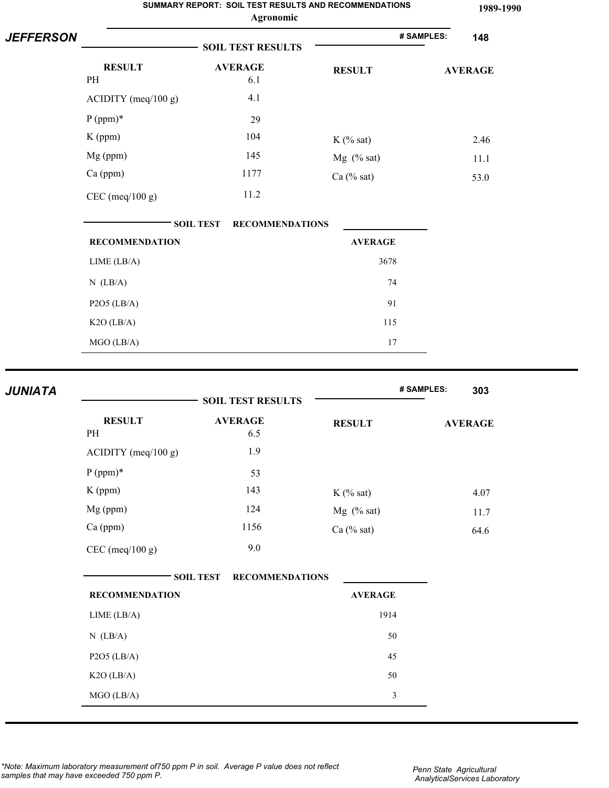|                  |                       | SUMMARY REPORT: SOIL TEST RESULTS AND RECOMMENDATIONS<br>Agronomic |                | 1989-1990         |
|------------------|-----------------------|--------------------------------------------------------------------|----------------|-------------------|
| <b>JEFFERSON</b> |                       | <b>SOIL TEST RESULTS</b>                                           |                | # SAMPLES:<br>148 |
|                  | <b>RESULT</b>         | <b>AVERAGE</b>                                                     | <b>RESULT</b>  | <b>AVERAGE</b>    |
|                  | PH                    | 6.1                                                                |                |                   |
|                  | $ACIDITY$ (meq/100 g) | 4.1                                                                |                |                   |
|                  | $P (ppm)*$            | 29                                                                 |                |                   |
|                  | $K$ (ppm)             | 104                                                                | $K$ (% sat)    | 2.46              |
|                  | Mg (ppm)              | 145                                                                | $Mg$ (% sat)   | 11.1              |
|                  | Ca (ppm)              | 1177                                                               | Ca (% sat)     | 53.0              |
|                  | $CEC$ (meq/100 g)     | 11.2                                                               |                |                   |
|                  |                       | <b>SOIL TEST</b><br><b>RECOMMENDATIONS</b>                         |                |                   |
|                  | <b>RECOMMENDATION</b> |                                                                    | <b>AVERAGE</b> |                   |
|                  | LIME (LB/A)           |                                                                    | 3678           |                   |
|                  | $N$ (LB/A)            |                                                                    | 74             |                   |
|                  | $P2O5$ (LB/A)         |                                                                    | 91             |                   |
|                  | $K2O$ (LB/A)          |                                                                    | 115            |                   |
|                  | MGO (LB/A)            |                                                                    | 17             |                   |
|                  |                       |                                                                    |                |                   |
| <b>JUNIATA</b>   |                       | <b>SOIL TEST RESULTS</b>                                           |                | # SAMPLES:<br>303 |
|                  | <b>RESULT</b><br>PH   | <b>AVERAGE</b><br>6.5                                              | <b>RESULT</b>  | <b>AVERAGE</b>    |
|                  | ACIDITY (meq/100 g)   | 1.9                                                                |                |                   |
|                  | $P (ppm)*$            | 53                                                                 |                |                   |
|                  | K (ppm)               | 143                                                                | $K$ (% sat)    | 4.07              |
|                  | Mg (ppm)              | 124                                                                | $Mg$ (% sat)   | 11.7              |
|                  | Ca (ppm)              | 1156                                                               | $Ca$ (% sat)   | 64.6              |
|                  | $CEC$ (meq/100 g)     | 9.0                                                                |                |                   |

| <b>SOIL TEST</b><br><b>RECOMMENDATIONS</b> |                |
|--------------------------------------------|----------------|
| <b>RECOMMENDATION</b>                      | <b>AVERAGE</b> |
| LIME (LB/A)                                | 1914           |
| $N$ (LB/A)                                 | 50             |
| $P2O5$ (LB/A)                              | 45             |
| $K2O$ (LB/A)                               | 50             |
| $MGO$ (LB/A)                               | 3              |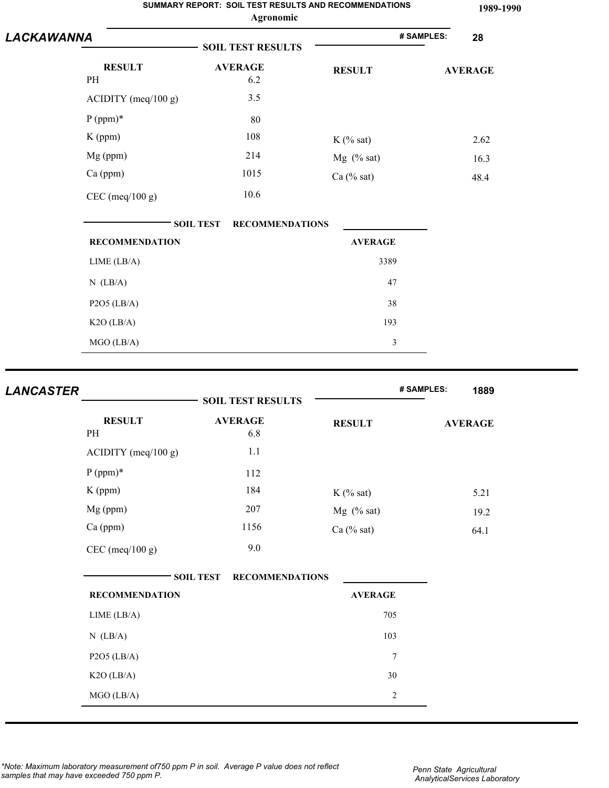|            |                       |                  | SUMMARY REPORT: SOIL TEST RESULTS AND RECOMMENDATIONS<br>Agronomic |                |            | 1989-1990      |
|------------|-----------------------|------------------|--------------------------------------------------------------------|----------------|------------|----------------|
| LACKAWANNA |                       |                  | <b>SOIL TEST RESULTS</b>                                           |                | # SAMPLES: | 28             |
|            | <b>RESULT</b><br>PH   |                  | <b>AVERAGE</b><br>6.2                                              | <b>RESULT</b>  |            | <b>AVERAGE</b> |
|            | $ACIDITY$ (meq/100 g) |                  | 3.5                                                                |                |            |                |
|            | $P (ppm)*$            |                  | 80                                                                 |                |            |                |
|            | $K$ (ppm)             |                  | 108                                                                | $K$ (% sat)    |            | 2.62           |
|            | Mg (ppm)              |                  | 214                                                                | $Mg$ (% sat)   |            | 16.3           |
|            | Ca (ppm)              |                  | 1015                                                               | $Ca$ (% sat)   |            | 48.4           |
|            | $CEC$ (meq/100 g)     |                  | 10.6                                                               |                |            |                |
|            |                       | <b>SOIL TEST</b> | <b>RECOMMENDATIONS</b>                                             |                |            |                |
|            | <b>RECOMMENDATION</b> |                  |                                                                    | <b>AVERAGE</b> |            |                |
|            | LIME (LB/A)           |                  |                                                                    | 3389           |            |                |
|            | $N$ (LB/A)            |                  |                                                                    | 47             |            |                |
|            | $P2O5$ (LB/A)         |                  |                                                                    | 38             |            |                |
|            | $K2O$ (LB/A)          |                  |                                                                    | 193            |            |                |
|            | MGO (LB/A)            |                  |                                                                    | $\mathfrak{Z}$ |            |                |

| <b>LANCASTER</b> |                       | <b>SOIL TEST RESULTS</b>                   |                | # SAMPLES: | 1889           |
|------------------|-----------------------|--------------------------------------------|----------------|------------|----------------|
|                  | <b>RESULT</b><br>PH   | <b>AVERAGE</b><br>6.8                      | <b>RESULT</b>  |            | <b>AVERAGE</b> |
|                  | $ACIDITY$ (meq/100 g) | 1.1                                        |                |            |                |
|                  | $P (ppm)*$            | 112                                        |                |            |                |
|                  | $K$ (ppm)             | 184                                        | $K$ (% sat)    |            | 5.21           |
|                  | Mg (ppm)              | 207                                        | $Mg$ (% sat)   |            | 19.2           |
|                  | Ca (ppm)              | 1156                                       | $Ca$ (% sat)   |            | 64.1           |
|                  | $CEC$ (meq/100 g)     | 9.0                                        |                |            |                |
|                  |                       | <b>RECOMMENDATIONS</b><br><b>SOIL TEST</b> |                |            |                |
|                  | <b>RECOMMENDATION</b> |                                            | <b>AVERAGE</b> |            |                |
|                  | LIME (LB/A)           |                                            | 705            |            |                |
|                  | $N$ (LB/A)            |                                            | 103            |            |                |
|                  | $P2O5$ (LB/A)         |                                            | $\overline{7}$ |            |                |
|                  | $K2O$ (LB/A)          |                                            | 30             |            |                |
|                  | MGO (LB/A)            |                                            | $\sqrt{2}$     |            |                |

*\*Note: Maximum laboratory measurement of750 ppm P in soil. Average P value does not reflect samples that may have exceeded 750 ppm P.*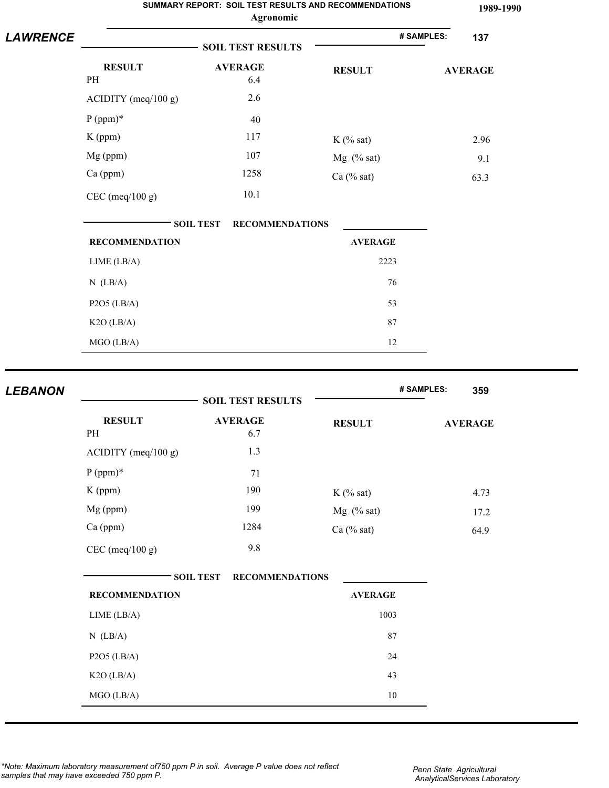|                 | SUMMARY REPORT: SOIL TEST RESULTS AND RECOMMENDATIONS<br>Agronomic |                                            |                      |                   |  |
|-----------------|--------------------------------------------------------------------|--------------------------------------------|----------------------|-------------------|--|
| <b>LAWRENCE</b> |                                                                    | <b>SOIL TEST RESULTS</b>                   |                      | # SAMPLES:<br>137 |  |
|                 | <b>RESULT</b><br>PH                                                | <b>AVERAGE</b><br>6.4                      | <b>RESULT</b>        | <b>AVERAGE</b>    |  |
|                 | ACIDITY (meq/100 g)                                                | 2.6                                        |                      |                   |  |
|                 | $P (ppm)*$                                                         | 40                                         |                      |                   |  |
|                 | $K$ (ppm)                                                          | 117                                        | $K$ (% sat)          | 2.96              |  |
|                 | Mg (ppm)                                                           | 107                                        | $Mg$ (% sat)         | 9.1               |  |
|                 | Ca (ppm)                                                           | 1258                                       | Ca (% sat)           | 63.3              |  |
|                 | $CEC$ (meq/100 g)                                                  | 10.1                                       |                      |                   |  |
|                 |                                                                    | <b>RECOMMENDATIONS</b><br><b>SOIL TEST</b> |                      |                   |  |
|                 | <b>RECOMMENDATION</b>                                              |                                            | <b>AVERAGE</b>       |                   |  |
|                 | LIME (LB/A)                                                        |                                            | 2223                 |                   |  |
|                 | $N$ (LB/A)                                                         |                                            | 76                   |                   |  |
|                 | $P2O5$ (LB/A)                                                      |                                            | 53                   |                   |  |
|                 | $K2O$ (LB/A)                                                       |                                            | 87                   |                   |  |
|                 | MGO (LB/A)                                                         |                                            | 12                   |                   |  |
|                 |                                                                    |                                            |                      |                   |  |
| <b>LEBANON</b>  |                                                                    | <b>SOIL TEST RESULTS</b>                   |                      | # SAMPLES:<br>359 |  |
|                 | <b>RESULT</b><br>PH                                                | <b>AVERAGE</b><br>6.7                      | <b>RESULT</b>        | <b>AVERAGE</b>    |  |
|                 | $ACIDITY$ (meq/100 g)                                              | 1.3                                        |                      |                   |  |
|                 | $P (ppm)*$                                                         | 71                                         |                      |                   |  |
|                 | K (ppm)                                                            | 190                                        | $K$ (% sat)          | 4.73              |  |
|                 | $Mg$ (ppm)                                                         | 199                                        | $M\sigma$ $(0)$ cat) | 172               |  |

|                       | <b>SOIL TEST RESULTS</b>                   |                | uuu            |
|-----------------------|--------------------------------------------|----------------|----------------|
| <b>RESULT</b>         | <b>AVERAGE</b>                             | <b>RESULT</b>  | <b>AVERAGE</b> |
| PH                    | 6.7                                        |                |                |
| $ACIDITY$ (meq/100 g) | 1.3                                        |                |                |
| $P (ppm)*$            | 71                                         |                |                |
| $K$ (ppm)             | 190                                        | $K$ (% sat)    | 4.73           |
| Mg (ppm)              | 199                                        | $Mg$ (% sat)   | 17.2           |
| Ca (ppm)              | 1284                                       | $Ca$ (% sat)   | 64.9           |
| $CEC$ (meq/100 g)     | 9.8                                        |                |                |
|                       |                                            |                |                |
|                       | <b>SOIL TEST</b><br><b>RECOMMENDATIONS</b> |                |                |
| <b>RECOMMENDATION</b> |                                            | <b>AVERAGE</b> |                |
| LIME (LB/A)           |                                            | 1003           |                |
| $N$ (LB/A)            |                                            | 87             |                |
| $P2O5$ (LB/A)         |                                            | 24             |                |
| K2O (LB/A)            |                                            | 43             |                |
| MGO (LB/A)            |                                            | $10\,$         |                |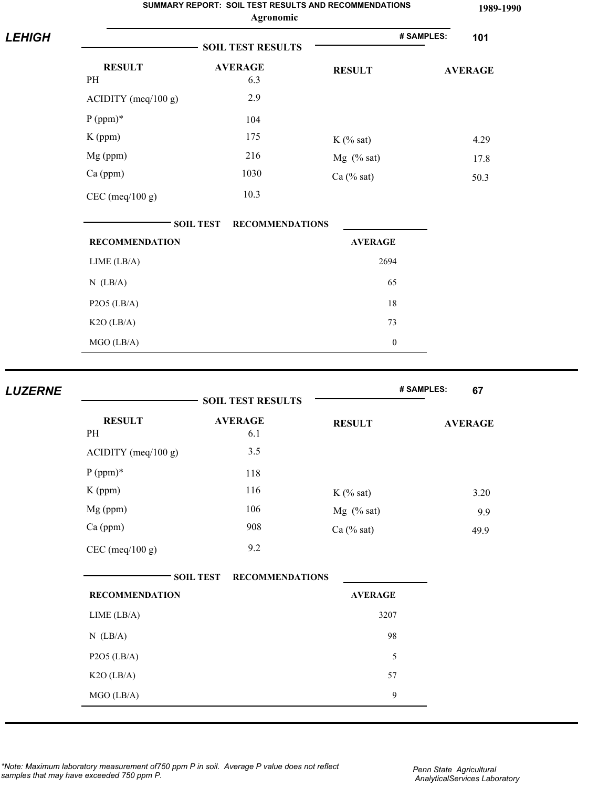|                |                       | SUMMARY REPORT: SOIL TEST RESULTS AND RECOMMENDATIONS<br>Agronomic |                  | 1989-1990         |
|----------------|-----------------------|--------------------------------------------------------------------|------------------|-------------------|
| <b>LEHIGH</b>  |                       | <b>SOIL TEST RESULTS</b>                                           |                  | # SAMPLES:<br>101 |
|                | <b>RESULT</b>         | <b>AVERAGE</b>                                                     | <b>RESULT</b>    | <b>AVERAGE</b>    |
|                | $\rm PH$              | 6.3                                                                |                  |                   |
|                | ACIDITY (meq/100 g)   | 2.9                                                                |                  |                   |
|                | $P (ppm)*$            | 104                                                                |                  |                   |
|                | K (ppm)               | 175                                                                | $K$ (% sat)      | 4.29              |
|                | Mg (ppm)              | 216                                                                | $Mg$ (% sat)     | 17.8              |
|                | Ca (ppm)              | 1030                                                               | $Ca$ (% sat)     | 50.3              |
|                | $CEC$ (meq/100 g)     | 10.3                                                               |                  |                   |
|                |                       | <b>SOIL TEST</b><br><b>RECOMMENDATIONS</b>                         |                  |                   |
|                | <b>RECOMMENDATION</b> |                                                                    | <b>AVERAGE</b>   |                   |
|                | LIME (LB/A)           |                                                                    | 2694             |                   |
|                | $N$ (LB/A)            |                                                                    | 65               |                   |
|                | $P2O5$ (LB/A)         |                                                                    | 18               |                   |
|                | K2O (LB/A)            |                                                                    | 73               |                   |
|                | MGO (LB/A)            |                                                                    | $\boldsymbol{0}$ |                   |
|                |                       |                                                                    |                  |                   |
| <b>LUZERNE</b> |                       | <b>SOIL TEST RESULTS</b>                                           |                  | # SAMPLES:<br>67  |
|                | <b>RESULT</b><br>PH   | <b>AVERAGE</b><br>6.1                                              | <b>RESULT</b>    | <b>AVERAGE</b>    |
|                | ACIDITY (meq/100 g)   | 3.5                                                                |                  |                   |

| <b>RESULT</b><br>PH   | AVERAGE<br>6.1                             | <b>RESULT</b>  | <b>AVERAGE</b> |
|-----------------------|--------------------------------------------|----------------|----------------|
| $ACIDITY$ (meq/100 g) | 3.5                                        |                |                |
| $P (ppm)*$            | 118                                        |                |                |
| $K$ (ppm)             | 116                                        | $K$ (% sat)    | 3.20           |
| Mg (ppm)              | 106                                        | $Mg$ (% sat)   | 9.9            |
| Ca (ppm)              | 908                                        | $Ca$ (% sat)   | 49.9           |
| $CEC$ (meq/100 g)     | 9.2                                        |                |                |
| <b>RECOMMENDATION</b> | <b>SOIL TEST</b><br><b>RECOMMENDATIONS</b> | <b>AVERAGE</b> |                |
| LIME (LB/A)           |                                            | 3207           |                |
| $N$ (LB/A)            |                                            | 98             |                |
| $P2O5$ (LB/A)         |                                            | 5              |                |
| $K2O$ (LB/A)          |                                            | 57             |                |
|                       |                                            |                |                |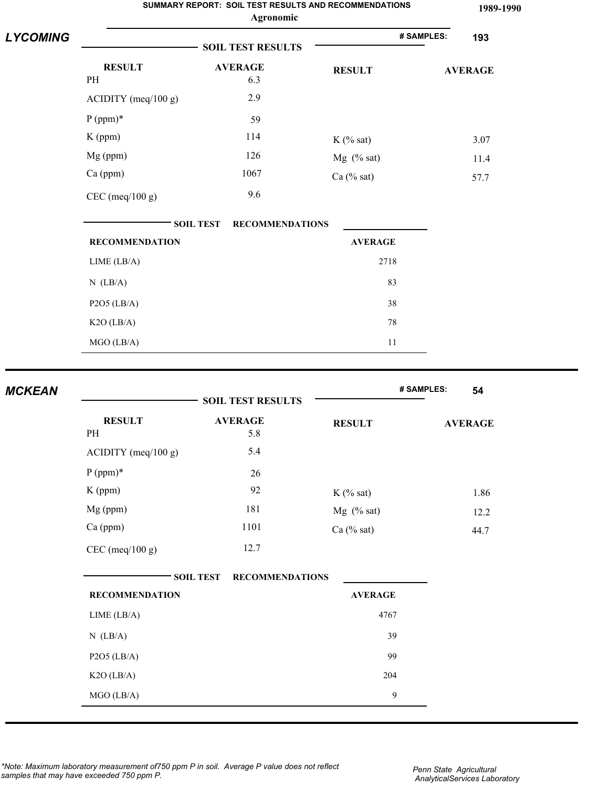|                 | SUMMARY REPORT: SOIL TEST RESULTS AND RECOMMENDATIONS<br>Agronomic |                                            |                |                   |  |
|-----------------|--------------------------------------------------------------------|--------------------------------------------|----------------|-------------------|--|
| <b>LYCOMING</b> |                                                                    | <b>SOIL TEST RESULTS</b>                   |                | # SAMPLES:<br>193 |  |
|                 | <b>RESULT</b><br>PH                                                | <b>AVERAGE</b><br>6.3                      | <b>RESULT</b>  | <b>AVERAGE</b>    |  |
|                 | ACIDITY (meq/100 g)                                                | 2.9                                        |                |                   |  |
|                 | $P (ppm)*$                                                         | 59                                         |                |                   |  |
|                 | $K$ (ppm)                                                          | 114                                        | $K$ (% sat)    | 3.07              |  |
|                 | Mg (ppm)                                                           | 126                                        | $Mg$ (% sat)   | 11.4              |  |
|                 | $Ca$ (ppm)                                                         | 1067                                       | Ca $(\%$ sat)  | 57.7              |  |
|                 | $CEC$ (meq/100 g)                                                  | 9.6                                        |                |                   |  |
|                 |                                                                    | <b>RECOMMENDATIONS</b><br><b>SOIL TEST</b> |                |                   |  |
|                 | <b>RECOMMENDATION</b>                                              |                                            | <b>AVERAGE</b> |                   |  |
|                 | LIME (LB/A)                                                        |                                            | 2718           |                   |  |
|                 | $N$ (LB/A)                                                         |                                            | 83             |                   |  |
|                 | $P2O5$ (LB/A)                                                      |                                            | 38             |                   |  |
|                 | $K2O$ (LB/A)                                                       |                                            | 78             |                   |  |
|                 | MGO (LB/A)                                                         |                                            | 11             |                   |  |
|                 |                                                                    |                                            |                |                   |  |
| <b>MCKEAN</b>   |                                                                    | <b>SOIL TEST RESULTS</b>                   |                | # SAMPLES:<br>54  |  |
|                 | <b>RESULT</b>                                                      | <b>AVERAGE</b>                             |                |                   |  |
|                 | PH                                                                 | 5.8                                        | <b>RESULT</b>  | <b>AVERAGE</b>    |  |
|                 | ACIDITY (meq/100 g)                                                | 5.4                                        |                |                   |  |
|                 | $P (ppm)*$                                                         | 26                                         |                |                   |  |
|                 | K (ppm)                                                            | 92                                         | $K$ (% sat)    | 186               |  |

|                       | <b>SOIL TEST RESULTS</b>                   |                | # SAMPLES:     | 54   |
|-----------------------|--------------------------------------------|----------------|----------------|------|
| <b>RESULT</b><br>PH   | <b>AVERAGE</b><br>5.8                      | <b>RESULT</b>  | <b>AVERAGE</b> |      |
| $ACIDITY$ (meq/100 g) | 5.4                                        |                |                |      |
| $P (ppm)*$            | 26                                         |                |                |      |
| K (ppm)               | 92                                         | $K$ (% sat)    |                | 1.86 |
| Mg (ppm)              | 181                                        | $Mg$ (% sat)   |                | 12.2 |
| Ca (ppm)              | 1101                                       | $Ca$ (% sat)   |                | 44.7 |
| $CEC$ (meq/100 g)     | 12.7                                       |                |                |      |
|                       | <b>SOIL TEST</b><br><b>RECOMMENDATIONS</b> |                |                |      |
| <b>RECOMMENDATION</b> |                                            | <b>AVERAGE</b> |                |      |
| LIME (LB/A)           |                                            | 4767           |                |      |
| $N$ (LB/A)            |                                            | 39             |                |      |
| $P2O5$ (LB/A)         |                                            | 99             |                |      |
| $K2O$ (LB/A)          |                                            | 204            |                |      |
| MGO (LB/A)            |                                            | $\mathbf{9}$   |                |      |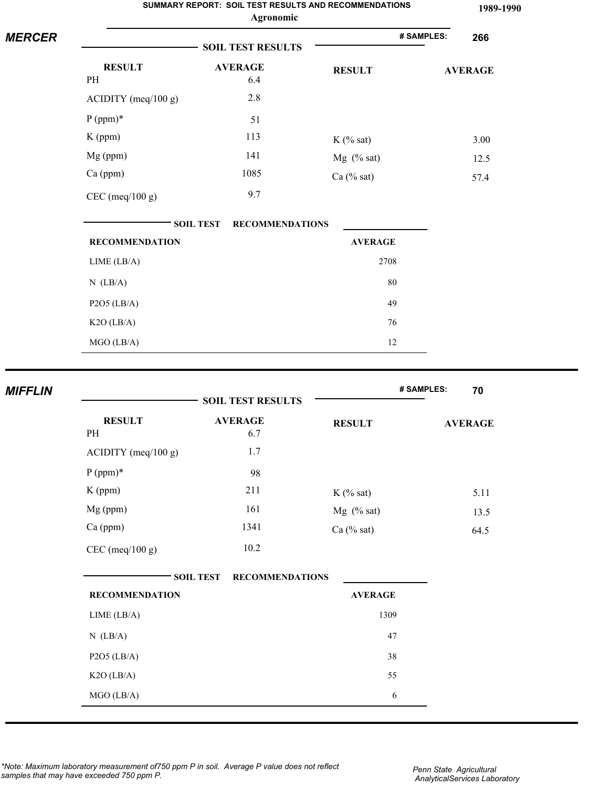|                |                       | SUMMARY REPORT: SOIL TEST RESULTS AND RECOMMENDATIONS<br>Agronomic |                | 1989-1990         |
|----------------|-----------------------|--------------------------------------------------------------------|----------------|-------------------|
| <b>MERCER</b>  |                       | <b>SOIL TEST RESULTS</b>                                           |                | # SAMPLES:<br>266 |
|                | <b>RESULT</b><br>PH   | <b>AVERAGE</b><br>6.4                                              | <b>RESULT</b>  | <b>AVERAGE</b>    |
|                | $ACIDITY$ (meq/100 g) | 2.8                                                                |                |                   |
|                | $P (ppm)*$            | 51                                                                 |                |                   |
|                | K (ppm)               | 113                                                                | $K$ (% sat)    | 3.00              |
|                | Mg (ppm)              | 141                                                                | Mg (% sat)     | 12.5              |
|                | Ca (ppm)              | 1085                                                               | $Ca$ (% sat)   | 57.4              |
|                | $CEC$ (meq/100 g)     | 9.7                                                                |                |                   |
|                |                       | <b>SOIL TEST</b><br><b>RECOMMENDATIONS</b>                         |                |                   |
|                | <b>RECOMMENDATION</b> |                                                                    | <b>AVERAGE</b> |                   |
|                | LIME (LB/A)           |                                                                    | 2708           |                   |
|                | $N$ (LB/A)            |                                                                    | 80             |                   |
|                | $P2O5$ (LB/A)         |                                                                    | 49             |                   |
|                | $K2O$ (LB/A)          |                                                                    | 76             |                   |
|                | MGO (LB/A)            |                                                                    | 12             |                   |
| <b>MIFFLIN</b> |                       |                                                                    |                | # SAMPLES:<br>70  |
|                |                       | <b>SOIL TEST RESULTS</b>                                           |                |                   |
|                | <b>RESULT</b><br>PH   | <b>AVERAGE</b><br>6.7                                              | <b>RESULT</b>  | <b>AVERAGE</b>    |

| <b>RESULT</b><br>PH            | <b>AVERAGE</b><br>6.7                      | <b>RESULT</b>  | <b>AVERAGE</b> |
|--------------------------------|--------------------------------------------|----------------|----------------|
| $\triangle$ CIDITY (meq/100 g) | 1.7                                        |                |                |
| $P (ppm)*$                     | 98                                         |                |                |
| $K$ (ppm)                      | 211                                        | $K$ (% sat)    | 5.11           |
| Mg (ppm)                       | 161                                        | $Mg$ (% sat)   | 13.5           |
| Ca (ppm)                       | 1341                                       | Ca (% sat)     | 64.5           |
| $CEC$ (meq/100 g)              | 10.2                                       |                |                |
|                                | <b>SOIL TEST</b><br><b>RECOMMENDATIONS</b> |                |                |
| <b>RECOMMENDATION</b>          |                                            | <b>AVERAGE</b> |                |
| LIME (LB/A)                    |                                            | 1309           |                |
| $N$ (LB/A)                     |                                            | 47             |                |
| $P2O5$ (LB/A)                  |                                            | 38             |                |
| $K2O$ (LB/A)                   |                                            | 55             |                |
| MGO (LB/A)                     |                                            | 6              |                |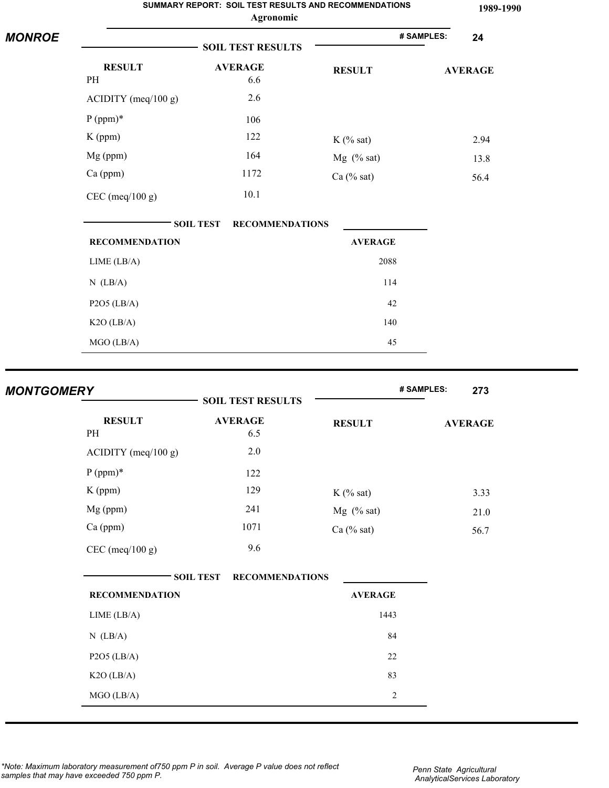|               |                       |                  | SUMMARY REPORT: SOIL TEST RESULTS AND RECOMMENDATIONS<br>Agronomic |                |            | 1989-1990      |
|---------------|-----------------------|------------------|--------------------------------------------------------------------|----------------|------------|----------------|
| <b>MONROE</b> |                       |                  | <b>SOIL TEST RESULTS</b>                                           |                | # SAMPLES: | 24             |
|               | <b>RESULT</b><br>PH   |                  | <b>AVERAGE</b><br>6.6                                              | <b>RESULT</b>  |            | <b>AVERAGE</b> |
|               | $ACIDITY$ (meq/100 g) |                  | 2.6                                                                |                |            |                |
|               | $P (ppm)*$            |                  | 106                                                                |                |            |                |
|               | $K$ (ppm)             |                  | 122                                                                | $K$ (% sat)    |            | 2.94           |
|               | Mg (ppm)              |                  | 164                                                                | $Mg$ (% sat)   |            | 13.8           |
|               | Ca (ppm)              |                  | 1172                                                               | $Ca$ (% sat)   |            | 56.4           |
|               | $CEC$ (meq/100 g)     |                  | 10.1                                                               |                |            |                |
|               |                       | <b>SOIL TEST</b> | <b>RECOMMENDATIONS</b>                                             |                |            |                |
|               | <b>RECOMMENDATION</b> |                  |                                                                    | <b>AVERAGE</b> |            |                |
|               | LIME (LB/A)           |                  |                                                                    | 2088           |            |                |
|               | $N$ (LB/A)            |                  |                                                                    | 114            |            |                |
|               | $P2O5$ (LB/A)         |                  |                                                                    | 42             |            |                |
|               | K2O (LB/A)            |                  |                                                                    | 140            |            |                |
|               | MGO (LB/A)            |                  |                                                                    | 45             |            |                |

| <b>MONTGOMERY</b> |                       | <b>SOIL TEST RESULTS</b>                   |                | # SAMPLES:<br>273 |
|-------------------|-----------------------|--------------------------------------------|----------------|-------------------|
|                   | <b>RESULT</b><br>PH   | <b>AVERAGE</b><br>6.5                      | <b>RESULT</b>  | <b>AVERAGE</b>    |
|                   | $ACIDITY$ (meq/100 g) | 2.0                                        |                |                   |
|                   | $P (ppm)*$            | 122                                        |                |                   |
|                   | K (ppm)               | 129                                        | $K$ (% sat)    | 3.33              |
|                   | Mg (ppm)              | 241                                        | Mg (% sat)     | 21.0              |
|                   | Ca (ppm)              | 1071                                       | $Ca$ (% sat)   | 56.7              |
|                   | $CEC$ (meq/100 g)     | 9.6                                        |                |                   |
|                   |                       | <b>SOIL TEST</b><br><b>RECOMMENDATIONS</b> |                |                   |
|                   | <b>RECOMMENDATION</b> |                                            | <b>AVERAGE</b> |                   |
|                   | LIME (LB/A)           |                                            | 1443           |                   |
|                   | $N$ (LB/A)            |                                            | 84             |                   |
|                   | $P2O5$ (LB/A)         |                                            | 22             |                   |
|                   | $K2O$ (LB/A)          |                                            | 83             |                   |
|                   | MGO (LB/A)            |                                            | $\sqrt{2}$     |                   |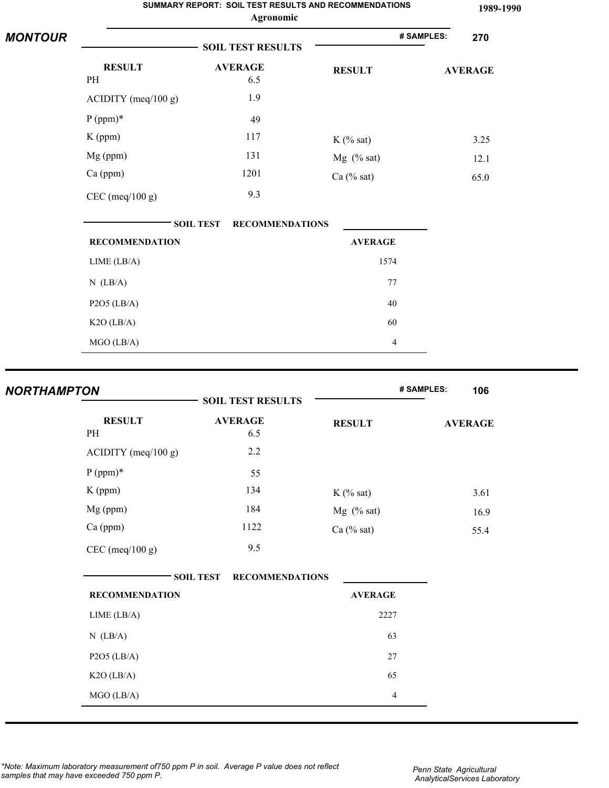| <b>MONTOUR</b> |                       |                                            |                | # SAMPLES:<br>270 |
|----------------|-----------------------|--------------------------------------------|----------------|-------------------|
|                |                       | <b>SOIL TEST RESULTS</b>                   |                |                   |
|                | <b>RESULT</b>         | <b>AVERAGE</b>                             | <b>RESULT</b>  | <b>AVERAGE</b>    |
|                | PH                    | 6.5                                        |                |                   |
|                | $ACIDITY$ (meq/100 g) | 1.9                                        |                |                   |
|                | $P (ppm)*$            | 49                                         |                |                   |
|                | $K$ (ppm)             | 117                                        | $K$ (% sat)    | 3.25              |
|                | Mg (ppm)              | 131                                        | $Mg$ (% sat)   | 12.1              |
|                | Ca (ppm)              | 1201                                       | $Ca$ (% sat)   | 65.0              |
|                | $CEC$ (meq/100 g)     | 9.3                                        |                |                   |
|                |                       | <b>SOIL TEST</b><br><b>RECOMMENDATIONS</b> |                |                   |
|                | <b>RECOMMENDATION</b> |                                            | <b>AVERAGE</b> |                   |
|                | LIME (LB/A)           |                                            | 1574           |                   |
|                | $N$ (LB/A)            |                                            | 77             |                   |
|                | $P2O5$ (LB/A)         |                                            | 40             |                   |
|                | $K2O$ (LB/A)          |                                            | 60             |                   |
|                | MGO (LB/A)            |                                            | $\overline{4}$ |                   |

| <b>NORTHAMPTON</b> |                       | <b>SOIL TEST RESULTS</b> |                | # SAMPLES:<br>106 |
|--------------------|-----------------------|--------------------------|----------------|-------------------|
| PH                 | <b>RESULT</b>         | <b>AVERAGE</b><br>6.5    | <b>RESULT</b>  | <b>AVERAGE</b>    |
|                    | $ACIDITY$ (meq/100 g) | 2.2                      |                |                   |
| $P (ppm)*$         |                       | 55                       |                |                   |
| K (ppm)            |                       | 134                      | $K$ (% sat)    | 3.61              |
| Mg (ppm)           |                       | 184                      | $Mg$ (% sat)   | 16.9              |
| Ca (ppm)           |                       | 1122                     | $Ca$ (% sat)   | 55.4              |
|                    | $CEC$ (meq/100 g)     | 9.5                      |                |                   |
|                    | <b>SOIL TEST</b>      | <b>RECOMMENDATIONS</b>   |                |                   |
|                    | <b>RECOMMENDATION</b> |                          | <b>AVERAGE</b> |                   |
| LIME (LB/A)        |                       |                          | 2227           |                   |
| $N$ (LB/A)         |                       |                          | 63             |                   |
| $P2O5$ (LB/A)      |                       |                          | 27             |                   |
| $K2O$ (LB/A)       |                       |                          | 65             |                   |
| MGO (LB/A)         |                       |                          | $\overline{4}$ |                   |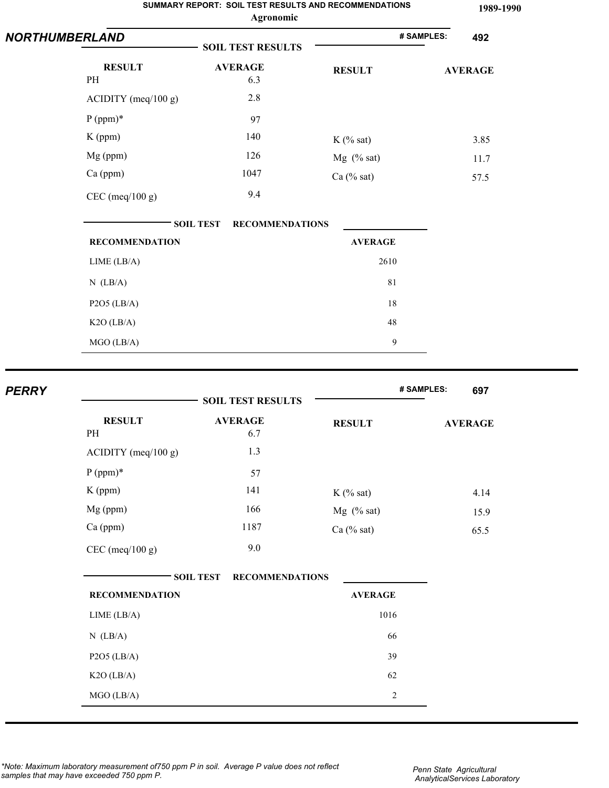|                                                                                             |                                                          | SUMMARY REPORT: SOIL TEST RESULTS AND RECOMMENDATIONS<br>Agronomic |            | 1989-1990                              |
|---------------------------------------------------------------------------------------------|----------------------------------------------------------|--------------------------------------------------------------------|------------|----------------------------------------|
| <b>NORTHUMBERLAND</b>                                                                       | <b>SOIL TEST RESULTS</b>                                 |                                                                    | # SAMPLES: | 492                                    |
| <b>RESULT</b><br>PH<br>ACIDITY (meq/100 g)<br>$P (ppm)*$<br>K (ppm)<br>Mg (ppm)<br>Ca (ppm) | <b>AVERAGE</b><br>6.3<br>2.8<br>97<br>140<br>126<br>1047 | <b>RESULT</b><br>$K$ (% sat)<br>$Mg$ (% sat)<br>Ca $(\%$ sat)      |            | <b>AVERAGE</b><br>3.85<br>11.7<br>57.5 |
| $CEC$ (meq/100 g)                                                                           | 9.4<br><b>SOIL TEST</b>                                  | <b>RECOMMENDATIONS</b>                                             |            |                                        |
| <b>RECOMMENDATION</b>                                                                       |                                                          | <b>AVERAGE</b>                                                     |            |                                        |
| LIME (LB/A)<br>$N$ (LB/A)                                                                   |                                                          | 2610<br>81                                                         |            |                                        |
| $P2O5$ (LB/A)<br>$K2O$ (LB/A)                                                               |                                                          | 18<br>$48\,$                                                       |            |                                        |
| $MGO$ (LB/A)                                                                                |                                                          | 9                                                                  |            |                                        |
| <b>PERRY</b>                                                                                | CAIL TROP BROUT BO                                       |                                                                    | # SAMPLES: | 697                                    |

|                       | <b>SOIL TEST RESULTS</b>                   |                         | # SAMPLES:<br>697 |
|-----------------------|--------------------------------------------|-------------------------|-------------------|
|                       |                                            |                         |                   |
| <b>RESULT</b>         | <b>AVERAGE</b>                             | <b>RESULT</b>           | <b>AVERAGE</b>    |
| PH                    | 6.7                                        |                         |                   |
| ACIDITY (meq/100 g)   | 1.3                                        |                         |                   |
| $P (ppm)*$            | 57                                         |                         |                   |
| $K$ (ppm)             | 141                                        | $K$ (% sat)             | 4.14              |
| Mg (ppm)              | 166                                        | $Mg$ (% sat)            | 15.9              |
| Ca (ppm)              | 1187                                       | $Ca$ (% sat)            | 65.5              |
| $CEC$ (meq/100 g)     | 9.0                                        |                         |                   |
|                       | <b>SOIL TEST</b><br><b>RECOMMENDATIONS</b> |                         |                   |
| <b>RECOMMENDATION</b> |                                            | <b>AVERAGE</b>          |                   |
| LIME (LB/A)           |                                            | 1016                    |                   |
| $N$ (LB/A)            |                                            | 66                      |                   |
| $P2O5$ (LB/A)         |                                            | 39                      |                   |
| $K2O$ (LB/A)          |                                            | 62                      |                   |
| MGO (LB/A)            |                                            | $\overline{\mathbf{c}}$ |                   |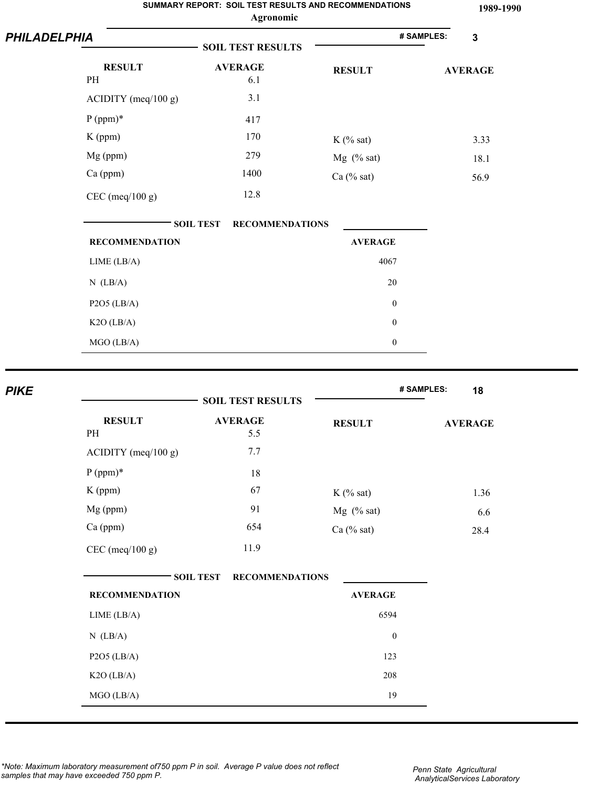|                                     |                  | Agronomic                | <b>SUMMARY REPORT: SOIL TEST RESULTS AND RECOMMENDATIONS</b> |            | 1989-1990      |
|-------------------------------------|------------------|--------------------------|--------------------------------------------------------------|------------|----------------|
| <b>PHILADELPHIA</b>                 |                  | <b>SOIL TEST RESULTS</b> |                                                              | # SAMPLES: | $\mathbf{3}$   |
| <b>RESULT</b><br>PH                 |                  | <b>AVERAGE</b><br>6.1    | <b>RESULT</b>                                                |            | <b>AVERAGE</b> |
| $ACIDITY$ (meq/100 g)<br>$P (ppm)*$ |                  | 3.1<br>417               |                                                              |            |                |
| K (ppm)                             |                  | 170                      | $K$ (% sat)                                                  |            | 3.33           |
| Mg (ppm)                            |                  | 279                      | $Mg$ (% sat)                                                 |            | 18.1           |
| Ca (ppm)                            |                  | 1400                     | $Ca$ (% sat)                                                 |            | 56.9           |
| $CEC$ (meq/100 g)                   |                  | 12.8                     |                                                              |            |                |
|                                     | <b>SOIL TEST</b> | <b>RECOMMENDATIONS</b>   |                                                              |            |                |
| <b>RECOMMENDATION</b>               |                  |                          | <b>AVERAGE</b>                                               |            |                |
| LIME (LB/A)                         |                  |                          | 4067                                                         |            |                |
| $N$ (LB/A)                          |                  |                          | 20                                                           |            |                |
| $P2O5$ (LB/A)                       |                  |                          | $\boldsymbol{0}$                                             |            |                |
| $K2O$ (LB/A)                        |                  |                          | $\boldsymbol{0}$                                             |            |                |
| MGO (LB/A)                          |                  |                          | $\boldsymbol{0}$                                             |            |                |
|                                     |                  |                          |                                                              |            |                |

|                       | <b>SOIL TEST RESULTS</b>                   |                  | # SAMPLES:<br>18 |
|-----------------------|--------------------------------------------|------------------|------------------|
| <b>RESULT</b><br>PH   | <b>AVERAGE</b><br>5.5                      | <b>RESULT</b>    | <b>AVERAGE</b>   |
| $ACIDITY$ (meq/100 g) | 7.7                                        |                  |                  |
| $P (ppm)*$            | $18\,$                                     |                  |                  |
| $K$ (ppm)             | 67                                         | $K$ (% sat)      | 1.36             |
| Mg (ppm)              | 91                                         | Mg $(% sat)$     | 6.6              |
| Ca (ppm)              | 654                                        | $Ca$ (% sat)     | 28.4             |
| $CEC$ (meq/100 g)     | 11.9                                       |                  |                  |
|                       | <b>SOIL TEST</b><br><b>RECOMMENDATIONS</b> |                  |                  |
| <b>RECOMMENDATION</b> |                                            | <b>AVERAGE</b>   |                  |
| LIME (LB/A)           |                                            | 6594             |                  |
| $N$ (LB/A)            |                                            | $\boldsymbol{0}$ |                  |
| $P2O5$ (LB/A)         |                                            | 123              |                  |
| $K2O$ (LB/A)          |                                            | 208              |                  |
| MGO (LB/A)            |                                            | 19               |                  |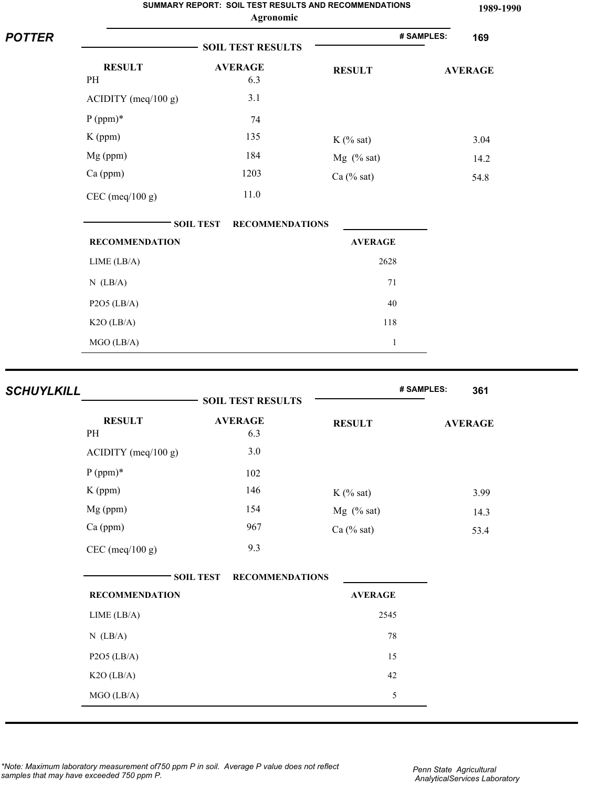|               |                       | Agronomic                                  | SUMMARY REPORT: SOIL TEST RESULTS AND RECOMMENDATIONS | 1989-1990         |
|---------------|-----------------------|--------------------------------------------|-------------------------------------------------------|-------------------|
| <b>POTTER</b> |                       | <b>SOIL TEST RESULTS</b>                   |                                                       | # SAMPLES:<br>169 |
|               | <b>RESULT</b><br>PH   | <b>AVERAGE</b><br>6.3                      | <b>RESULT</b>                                         | <b>AVERAGE</b>    |
|               | ACIDITY (meq/100 g)   | 3.1                                        |                                                       |                   |
|               | $P (ppm)*$            | 74                                         |                                                       |                   |
|               | $K$ (ppm)             | 135                                        | $K$ (% sat)                                           | 3.04              |
|               | Mg (ppm)              | 184                                        | $Mg$ (% sat)                                          | 14.2              |
|               | Ca (ppm)              | 1203                                       | $Ca$ (% sat)                                          | 54.8              |
|               | $CEC$ (meq/100 g)     | 11.0                                       |                                                       |                   |
|               |                       | <b>RECOMMENDATIONS</b><br><b>SOIL TEST</b> |                                                       |                   |
|               | <b>RECOMMENDATION</b> |                                            | <b>AVERAGE</b>                                        |                   |
|               | LIME (LB/A)           |                                            | 2628                                                  |                   |
|               | $N$ (LB/A)            |                                            | 71                                                    |                   |
|               | $P2O5$ (LB/A)         |                                            | 40                                                    |                   |
|               | $K2O$ (LB/A)          |                                            | 118                                                   |                   |
|               | MGO (LB/A)            |                                            | $\mathbf{1}$                                          |                   |

| <b>SCHUYLKILL</b> |                       | <b>SOIL TEST RESULTS</b>                   |                | # SAMPLES:<br>361 |
|-------------------|-----------------------|--------------------------------------------|----------------|-------------------|
|                   | <b>RESULT</b><br>PH   | <b>AVERAGE</b><br>6.3                      | <b>RESULT</b>  | <b>AVERAGE</b>    |
|                   | $ACIDITY$ (meq/100 g) | 3.0                                        |                |                   |
|                   | $P (ppm)*$            | 102                                        |                |                   |
|                   | K (ppm)               | 146                                        | $K$ (% sat)    | 3.99              |
|                   | Mg (ppm)              | 154                                        | $Mg$ (% sat)   | 14.3              |
|                   | Ca (ppm)              | 967                                        | $Ca$ (% sat)   | 53.4              |
|                   | $CEC$ (meq/100 g)     | 9.3                                        |                |                   |
|                   |                       | <b>SOIL TEST</b><br><b>RECOMMENDATIONS</b> |                |                   |
|                   | <b>RECOMMENDATION</b> |                                            | <b>AVERAGE</b> |                   |
|                   | LIME (LB/A)           |                                            | 2545           |                   |
|                   | $N$ (LB/A)            |                                            | 78             |                   |
|                   | $P2O5$ (LB/A)         |                                            | 15             |                   |
|                   | $K2O$ (LB/A)          |                                            | 42             |                   |
|                   | MGO (LB/A)            |                                            | 5              |                   |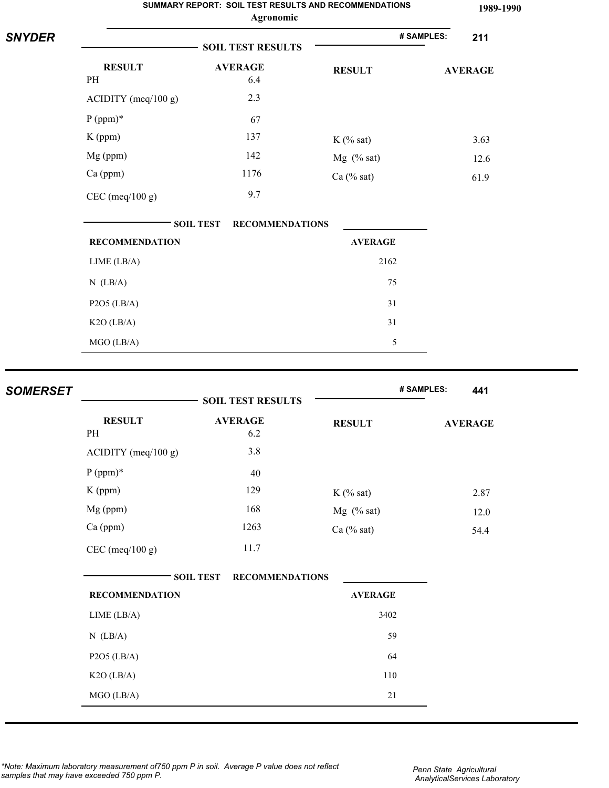|                 |                                                                                             | Agronomic                                                | SUMMARY REPORT: SOIL TEST RESULTS AND RECOMMENDATIONS       |            | 1989-1990                              |
|-----------------|---------------------------------------------------------------------------------------------|----------------------------------------------------------|-------------------------------------------------------------|------------|----------------------------------------|
| <b>SNYDER</b>   |                                                                                             | <b>SOIL TEST RESULTS</b>                                 |                                                             | # SAMPLES: | 211                                    |
|                 | <b>RESULT</b><br>PH<br>ACIDITY (meq/100 g)<br>$P (ppm)*$<br>K (ppm)<br>Mg (ppm)<br>Ca (ppm) | <b>AVERAGE</b><br>6.4<br>2.3<br>67<br>137<br>142<br>1176 | <b>RESULT</b><br>$K$ (% sat)<br>Mg (% sat)<br>Ca $(\%$ sat) |            | <b>AVERAGE</b><br>3.63<br>12.6<br>61.9 |
|                 | $CEC$ (meq/100 g)                                                                           | 9.7<br><b>SOIL TEST</b><br><b>RECOMMENDATIONS</b>        |                                                             |            |                                        |
|                 | <b>RECOMMENDATION</b>                                                                       |                                                          | <b>AVERAGE</b>                                              |            |                                        |
|                 | LIME (LB/A)                                                                                 |                                                          | 2162                                                        |            |                                        |
|                 | $N$ (LB/A)                                                                                  |                                                          | 75                                                          |            |                                        |
|                 | $P2O5$ (LB/A)                                                                               |                                                          | 31                                                          |            |                                        |
|                 | $K2O$ (LB/A)                                                                                |                                                          | 31                                                          |            |                                        |
|                 | MGO (LB/A)                                                                                  |                                                          | 5                                                           |            |                                        |
| <b>SOMERSET</b> |                                                                                             | <b>SOIL TEST DESIIL TS</b>                               |                                                             | # SAMPLES: | 441                                    |

|                       | <b>SOIL TEST RESULTS</b>                   |                | $\pi$ orier llo.<br>44 I |
|-----------------------|--------------------------------------------|----------------|--------------------------|
| <b>RESULT</b><br>PH   | <b>AVERAGE</b><br>6.2                      | <b>RESULT</b>  | <b>AVERAGE</b>           |
| $ACIDITY$ (meq/100 g) | 3.8                                        |                |                          |
| $P (ppm)*$            | 40                                         |                |                          |
| K (ppm)               | 129                                        | $K$ (% sat)    | 2.87                     |
| Mg (ppm)              | 168                                        | $Mg$ (% sat)   | 12.0                     |
| Ca (ppm)              | 1263                                       | $Ca$ (% sat)   | 54.4                     |
| $CEC$ (meq/100 g)     | 11.7                                       |                |                          |
|                       | <b>SOIL TEST</b><br><b>RECOMMENDATIONS</b> |                |                          |
| <b>RECOMMENDATION</b> |                                            | <b>AVERAGE</b> |                          |
| LIME (LB/A)           |                                            | 3402           |                          |
| $N$ (LB/A)            |                                            | 59             |                          |
| $P2O5$ (LB/A)         |                                            | 64             |                          |
| K2O (LB/A)            |                                            | 110            |                          |
| MGO (LB/A)            |                                            | $21\,$         |                          |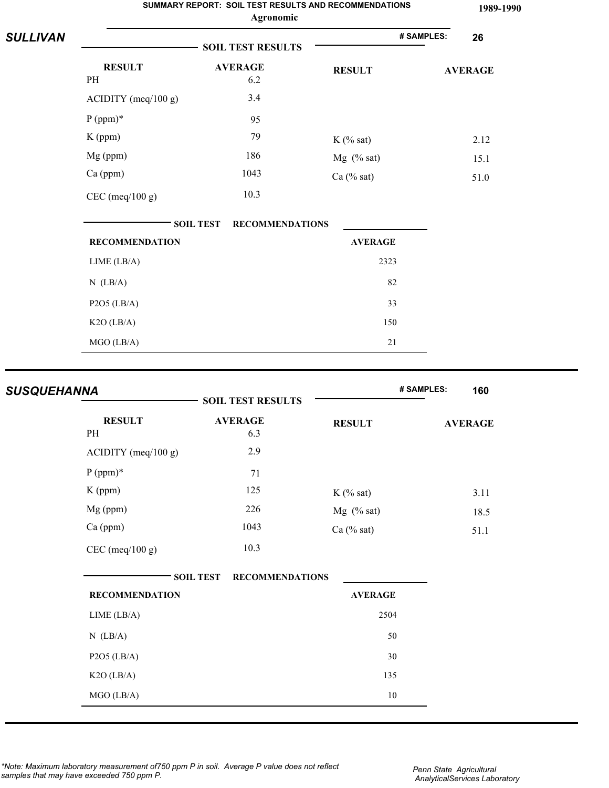|                 |                       |                          | SUMMARY REPORT: SOIL TEST RESULTS AND RECOMMENDATIONS<br>Agronomic |  |                |  | 1989-1990      |
|-----------------|-----------------------|--------------------------|--------------------------------------------------------------------|--|----------------|--|----------------|
| <b>SULLIVAN</b> |                       | <b>SOIL TEST RESULTS</b> |                                                                    |  | # SAMPLES:     |  | 26             |
|                 | <b>RESULT</b><br>PH   |                          | <b>AVERAGE</b><br>6.2                                              |  | <b>RESULT</b>  |  | <b>AVERAGE</b> |
|                 | $ACIDITY$ (meq/100 g) |                          | 3.4                                                                |  |                |  |                |
|                 | $P (ppm)*$            |                          | 95                                                                 |  |                |  |                |
|                 | K (ppm)               |                          | 79                                                                 |  | $K$ (% sat)    |  | 2.12           |
|                 | Mg (ppm)              |                          | 186                                                                |  | $Mg$ (% sat)   |  | 15.1           |
|                 | Ca (ppm)              |                          | 1043                                                               |  | $Ca$ (% sat)   |  | 51.0           |
|                 | $CEC$ (meq/100 g)     |                          | 10.3                                                               |  |                |  |                |
|                 |                       | <b>SOIL TEST</b>         | <b>RECOMMENDATIONS</b>                                             |  |                |  |                |
|                 | <b>RECOMMENDATION</b> |                          |                                                                    |  | <b>AVERAGE</b> |  |                |
|                 | LIME (LB/A)           |                          |                                                                    |  | 2323           |  |                |
|                 | $N$ (LB/A)            |                          |                                                                    |  | 82             |  |                |
|                 | $P2O5$ (LB/A)         |                          |                                                                    |  | 33             |  |                |
|                 | $K2O$ (LB/A)          |                          |                                                                    |  | 150            |  |                |
|                 | MGO (LB/A)            |                          |                                                                    |  | 21             |  |                |

| <b>SUSQUEHANNA</b>    | <b>SOIL TEST RESULTS</b>                   |                | # SAMPLES:<br>160 |
|-----------------------|--------------------------------------------|----------------|-------------------|
| <b>RESULT</b><br>PH   | <b>AVERAGE</b><br>6.3                      | <b>RESULT</b>  | <b>AVERAGE</b>    |
| $ACIDITY$ (meq/100 g) | 2.9                                        |                |                   |
| $P (ppm)*$            | 71                                         |                |                   |
| K (ppm)               | 125                                        | $K$ (% sat)    | 3.11              |
| Mg (ppm)              | 226                                        | $Mg$ (% sat)   | 18.5              |
| Ca (ppm)              | 1043                                       | $Ca$ (% sat)   | 51.1              |
| $CEC$ (meq/100 g)     | 10.3                                       |                |                   |
|                       | <b>SOIL TEST</b><br><b>RECOMMENDATIONS</b> |                |                   |
| <b>RECOMMENDATION</b> |                                            | <b>AVERAGE</b> |                   |
| LIME (LB/A)           |                                            | 2504           |                   |
| $N$ (LB/A)            |                                            | 50             |                   |
| $P2O5$ (LB/A)         |                                            | $30\,$         |                   |
| $K2O$ (LB/A)          |                                            | 135            |                   |
| MGO (LB/A)            |                                            | 10             |                   |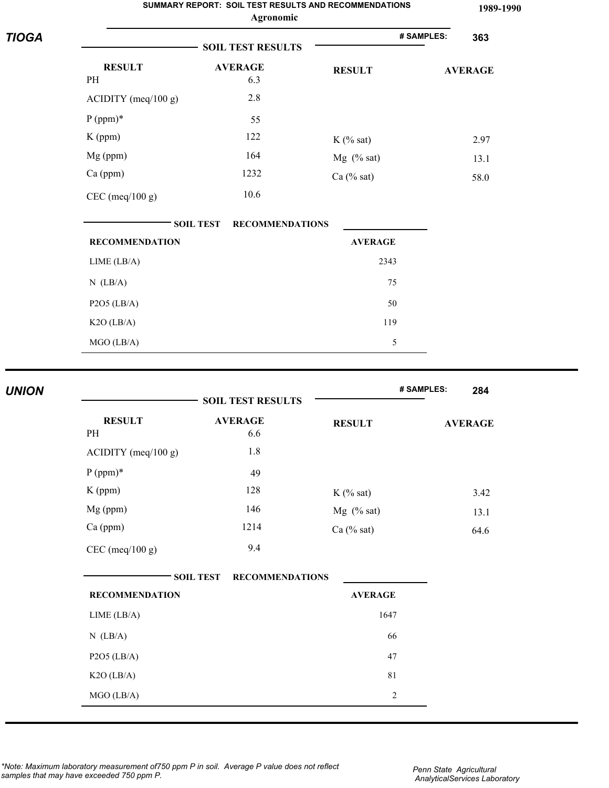|              |                       | SUMMARY REPORT: SOIL TEST RESULTS AND RECOMMENDATIONS<br>Agronomic |                | 1989-1990         |
|--------------|-----------------------|--------------------------------------------------------------------|----------------|-------------------|
| <b>TIOGA</b> |                       | <b>SOIL TEST RESULTS</b>                                           |                | # SAMPLES:<br>363 |
|              | <b>RESULT</b><br>PH   | <b>AVERAGE</b><br>6.3                                              | <b>RESULT</b>  | <b>AVERAGE</b>    |
|              | $ACIDITY$ (meq/100 g) | 2.8                                                                |                |                   |
|              | $P (ppm)*$            | 55                                                                 |                |                   |
|              | $K$ (ppm)             | 122                                                                | $K$ (% sat)    | 2.97              |
|              | Mg (ppm)              | 164                                                                | Mg (% sat)     | 13.1              |
|              | Ca (ppm)              | 1232                                                               | $Ca$ (% sat)   | 58.0              |
|              | $CEC$ (meq/100 g)     | 10.6                                                               |                |                   |
|              |                       | <b>SOIL TEST</b><br><b>RECOMMENDATIONS</b>                         |                |                   |
|              | <b>RECOMMENDATION</b> |                                                                    | <b>AVERAGE</b> |                   |
|              | LIME (LB/A)           |                                                                    | 2343           |                   |
|              | $N$ (LB/A)            |                                                                    | 75             |                   |
|              | $P2O5$ (LB/A)         |                                                                    | 50             |                   |
|              | K2O (LB/A)            |                                                                    | 119            |                   |
|              | MGO (LB/A)            |                                                                    | 5              |                   |
| <b>UNION</b> |                       |                                                                    |                | # SAMPLES:<br>284 |
|              |                       | <b>SOIL TEST RESULTS</b>                                           |                |                   |
|              | <b>RESULT</b><br>PH   | <b>AVERAGE</b><br>6.6                                              | <b>RESULT</b>  | <b>AVERAGE</b>    |
|              | ACIDITY (meq/100 g)   | $1.8\,$                                                            |                |                   |
|              | $P (ppm)*$            | 49                                                                 |                |                   |
|              | K (ppm)               | 128                                                                | $K$ (% sat)    | 3.42              |
|              | Mg (ppm)              | 146                                                                | Mg (% sat)     | 13.1              |
|              | Ca (ppm)              | 1214                                                               | Ca (% sat)     | 64.6              |
|              | CEC (meq/100 g)       | 9.4                                                                |                |                   |

| <b>SOIL TEST</b><br><b>RECOMMENDATIONS</b> |                |  |
|--------------------------------------------|----------------|--|
| <b>RECOMMENDATION</b>                      | <b>AVERAGE</b> |  |
| LIME (LB/A)                                | 1647           |  |
| $N$ (LB/A)                                 | 66             |  |
| $P2O5$ (LB/A)                              | 47             |  |
| $K2O$ (LB/A)                               | 81             |  |
| $MGO$ (LB/A)                               | $\overline{2}$ |  |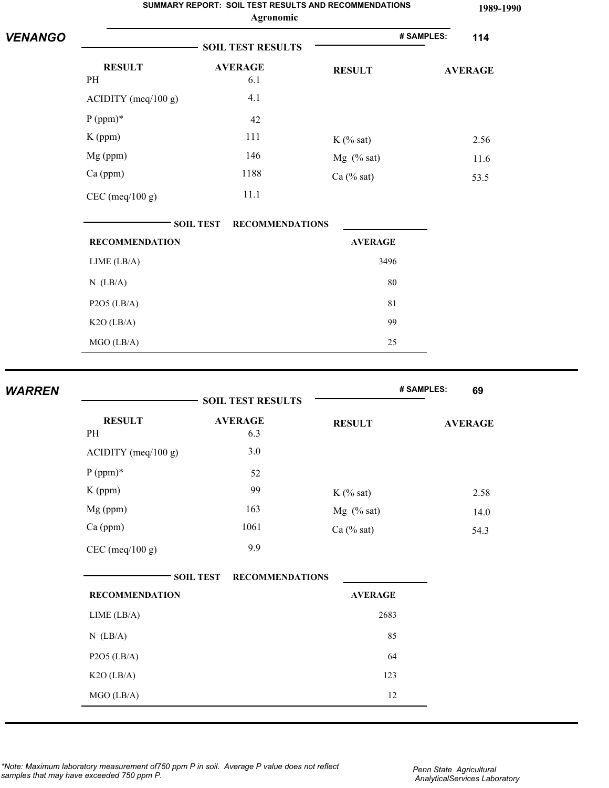|                |                       | SUMMARY REPORT: SOIL TEST RESULTS AND RECOMMENDATIONS<br>Agronomic |                | 1989-1990         |
|----------------|-----------------------|--------------------------------------------------------------------|----------------|-------------------|
| <b>VENANGO</b> |                       |                                                                    |                | # SAMPLES:<br>114 |
|                |                       | <b>SOIL TEST RESULTS</b>                                           |                |                   |
|                | <b>RESULT</b><br>PH   | <b>AVERAGE</b><br>6.1                                              | <b>RESULT</b>  | <b>AVERAGE</b>    |
|                | ACIDITY (meq/100 g)   | 4.1                                                                |                |                   |
|                | $P (ppm)*$            | 42                                                                 |                |                   |
|                | K (ppm)               | 111                                                                | $K$ (% sat)    | 2.56              |
|                | Mg (ppm)              | 146                                                                | Mg (% sat)     | 11.6              |
|                | Ca (ppm)              | 1188                                                               | Ca (% sat)     | 53.5              |
|                | $CEC$ (meq/100 g)     | 11.1                                                               |                |                   |
|                |                       | <b>SOIL TEST</b><br><b>RECOMMENDATIONS</b>                         |                |                   |
|                | <b>RECOMMENDATION</b> |                                                                    | <b>AVERAGE</b> |                   |
| <b>WARREN</b>  | LIME (LB/A)           |                                                                    | 3496           |                   |
|                | $N$ (LB/A)            |                                                                    | 80             |                   |
|                | $P2O5$ (LB/A)         |                                                                    | 81             |                   |
|                | $K2O$ (LB/A)          |                                                                    | 99             |                   |
|                | MGO (LB/A)            |                                                                    | 25             |                   |
|                |                       |                                                                    |                |                   |
|                |                       | <b>SOIL TEST RESULTS</b>                                           |                | # SAMPLES:<br>69  |
|                | <b>RESULT</b>         | <b>AVERAGE</b>                                                     |                |                   |
|                | PH                    | 6.3                                                                | <b>RESULT</b>  | <b>AVERAGE</b>    |
|                | ACIDITY (meq/100 g)   | $3.0$                                                              |                |                   |
|                | $P (ppm)*$            | 52                                                                 |                |                   |
|                | K (ppm)               | 99                                                                 | $K$ (% sat)    | 2.58              |
|                | Mg (ppm)              | 163                                                                | $Mg$ (% sat)   | 14.0              |
|                | Ca (ppm)              | 1061                                                               | Ca $(\%$ sat)  | 54.3              |
|                | $CEC$ (meq/100 g)     | 9.9                                                                |                |                   |

| SOIL TEST             | <b>RECOMMENDATIONS</b> |
|-----------------------|------------------------|
| <b>RECOMMENDATION</b> | <b>AVERAGE</b>         |
| LIME (LB/A)           | 2683                   |
| $N$ (LB/A)            | 85                     |
| $P2O5$ (LB/A)         | 64                     |
| $K2O$ (LB/A)          | 123                    |
| MGO(LB/A)             | 12                     |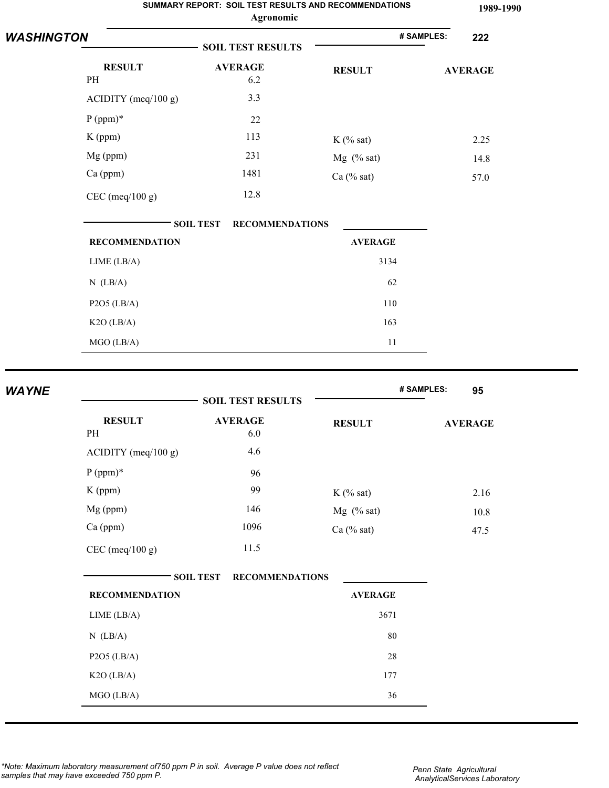|                   |                       | SUMMARY REPORT: SOIL TEST RESULTS AND RECOMMENDATIONS<br>Agronomic |                | 1989-1990         |
|-------------------|-----------------------|--------------------------------------------------------------------|----------------|-------------------|
| <b>WASHINGTON</b> |                       | <b>SOIL TEST RESULTS</b>                                           |                | # SAMPLES:<br>222 |
|                   | <b>RESULT</b><br>PH   | <b>AVERAGE</b><br>6.2                                              | <b>RESULT</b>  | <b>AVERAGE</b>    |
|                   | $ACIDITY$ (meq/100 g) | 3.3                                                                |                |                   |
|                   | $P (ppm)*$            | 22                                                                 |                |                   |
|                   | $K$ (ppm)             | 113                                                                | $K$ (% sat)    | 2.25              |
|                   | Mg (ppm)              | 231                                                                | Mg (% sat)     | 14.8              |
|                   | Ca (ppm)              | 1481                                                               | $Ca$ (% sat)   | 57.0              |
|                   | $CEC$ (meq/100 g)     | 12.8                                                               |                |                   |
|                   |                       | <b>SOIL TEST</b><br><b>RECOMMENDATIONS</b>                         |                |                   |
|                   | <b>RECOMMENDATION</b> |                                                                    | <b>AVERAGE</b> |                   |
|                   | LIME (LB/A)           |                                                                    | 3134           |                   |
|                   | $N$ (LB/A)            |                                                                    | 62             |                   |
|                   | $P2O5$ (LB/A)         |                                                                    | 110            |                   |
|                   | $K2O$ (LB/A)          |                                                                    | 163            |                   |
|                   | MGO (LB/A)            |                                                                    | 11             |                   |
| <b>WAYNE</b>      |                       |                                                                    |                | # SAMPLES:<br>95  |
|                   |                       | <b>SOIL TEST RESULTS</b>                                           |                |                   |

| <b>RESULT</b><br>PH   | <b>AVERAGE</b><br>6.0                      | <b>RESULT</b>  | <b>AVERAGE</b> |
|-----------------------|--------------------------------------------|----------------|----------------|
| $ACIDITY$ (meq/100 g) | 4.6                                        |                |                |
| $P (ppm)*$            | 96                                         |                |                |
| $K$ (ppm)             | 99                                         | $K$ (% sat)    | 2.16           |
| $Mg$ (ppm)            | 146                                        | $Mg$ (% sat)   | 10.8           |
| $Ca$ (ppm)            | 1096                                       | Ca $(\%$ sat)  | 47.5           |
| CEC (meq/100 g)       | 11.5                                       |                |                |
|                       | <b>SOIL TEST</b><br><b>RECOMMENDATIONS</b> |                |                |
| <b>RECOMMENDATION</b> |                                            | <b>AVERAGE</b> |                |
| LIME (LB/A)           |                                            | 3671           |                |
| $N$ (LB/A)            |                                            | 80             |                |

P2O5 (LB/A) 28 K2O (LB/A) 177  $MGO (LB/A)$  36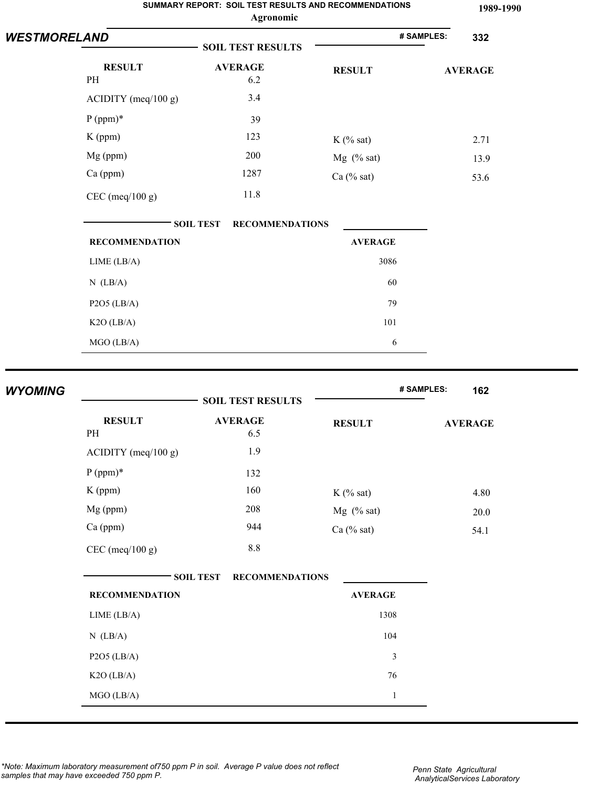|                     |                       | SUMMARY REPORT: SOIL TEST RESULTS AND RECOMMENDATIONS<br>Agronomic |                | 1989-1990         |
|---------------------|-----------------------|--------------------------------------------------------------------|----------------|-------------------|
| <b>WESTMORELAND</b> |                       | <b>SOIL TEST RESULTS</b>                                           |                | # SAMPLES:<br>332 |
|                     | <b>RESULT</b><br>PH   | <b>AVERAGE</b><br>6.2                                              | <b>RESULT</b>  | <b>AVERAGE</b>    |
|                     | ACIDITY (meq/100 g)   | 3.4                                                                |                |                   |
|                     | $P (ppm)*$            | 39                                                                 |                |                   |
|                     | $K$ (ppm)             | 123                                                                | $K$ (% sat)    | 2.71              |
|                     | Mg (ppm)              | 200                                                                | Mg $(% sat)$   | 13.9              |
|                     | Ca (ppm)              | 1287                                                               | Ca (% sat)     | 53.6              |
|                     | $CEC$ (meq/100 g)     | 11.8                                                               |                |                   |
|                     |                       | <b>RECOMMENDATIONS</b><br><b>SOIL TEST</b>                         |                |                   |
|                     | <b>RECOMMENDATION</b> |                                                                    | <b>AVERAGE</b> |                   |
|                     | LIME (LB/A)           |                                                                    | 3086           |                   |
|                     | $N$ (LB/A)            |                                                                    | 60             |                   |
|                     | $P2O5$ (LB/A)         |                                                                    | 79             |                   |
|                     | $K2O$ (LB/A)          |                                                                    | 101            |                   |
|                     | MGO (LB/A)            |                                                                    | $\sqrt{6}$     |                   |
|                     |                       |                                                                    |                |                   |
| <b>WYOMING</b>      |                       | <b>SOIL TEST RESULTS</b>                                           |                | # SAMPLES:<br>162 |
|                     | <b>RESULT</b><br>PH   | <b>AVERAGE</b><br>6.5                                              | <b>RESULT</b>  | <b>AVERAGE</b>    |
|                     | ACIDITY (meq/100 g)   | 1.9                                                                |                |                   |
|                     | $P (ppm)*$            | 132                                                                |                |                   |
|                     | $K$ (ppm)             | 160                                                                | $K$ (% sat)    | 4.80              |
|                     | Mg (ppm)              | 208                                                                | Mg (% sat)     | $20.0\,$          |

**SOIL TEST RECOMMENDATIONS RECOMMENDATION AVERAGE** LIME (LB/A) 1308 N (LB/A) 104 P2O5 (LB/A) 3  $K2O (LB/A)$  76  $MGO (LB/A)$  1

8.8

Ca (ppm) 944 Ca (% sat) 54.1

CEC (meq/100 g)